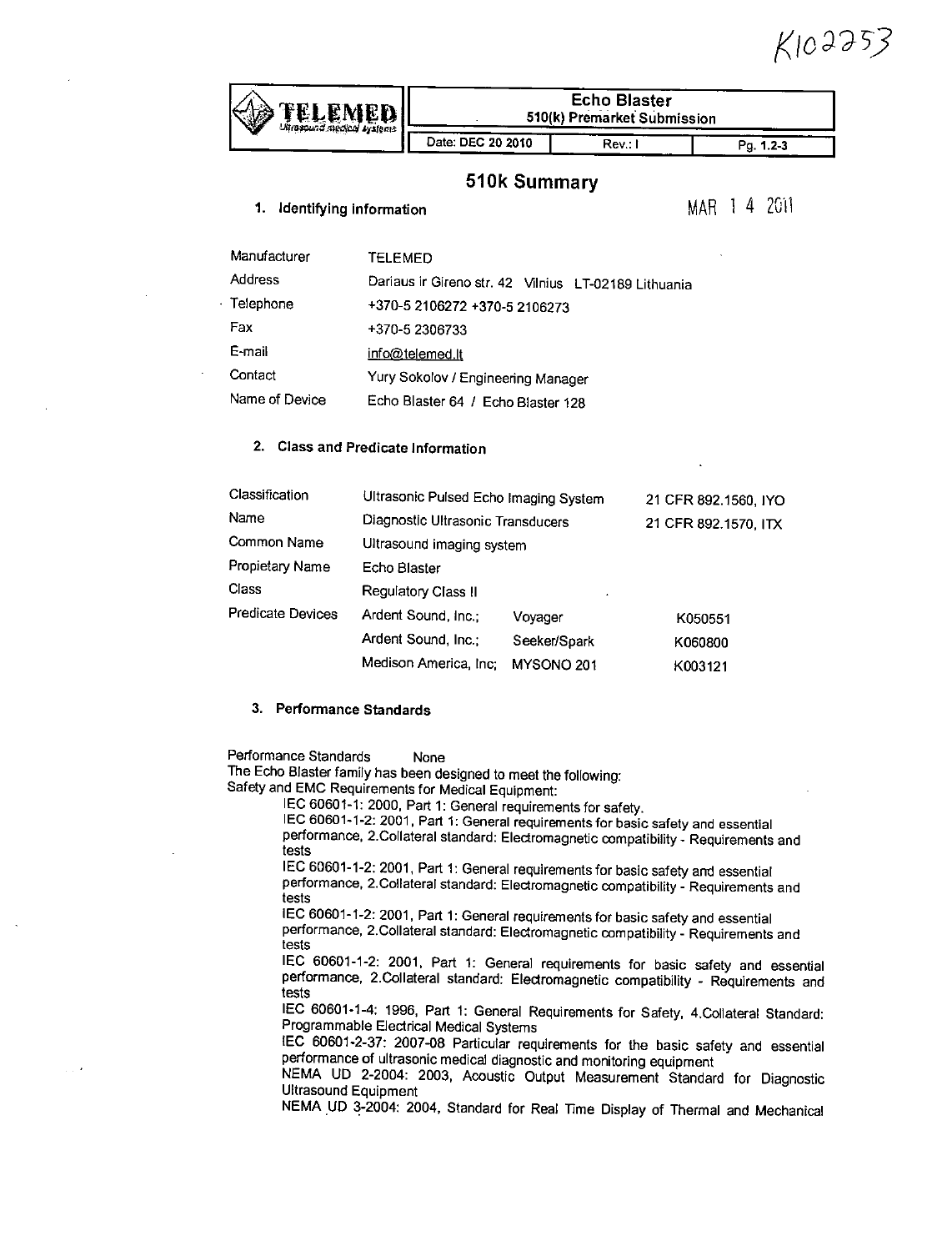$K102353$ 

|                   | #yslenia                                             | <b>Echo Blaster</b><br>510(k) Premarket Submission |        |                      |  |  |  |  |  |
|-------------------|------------------------------------------------------|----------------------------------------------------|--------|----------------------|--|--|--|--|--|
|                   |                                                      | Date: DEC 20 2010                                  | Rev. I | Pg. 1.2-3            |  |  |  |  |  |
|                   |                                                      | 510k Summary                                       |        |                      |  |  |  |  |  |
| 1.                | Identifying information                              |                                                    |        | MAR 1 4 2011         |  |  |  |  |  |
| Manufacturer      | <b>TELEMED</b>                                       |                                                    |        |                      |  |  |  |  |  |
| <b>Address</b>    | Dariaus ir Gireno str. 42 Vilnius LT-02189 Lithuania |                                                    |        |                      |  |  |  |  |  |
| · Telephone       | +370-5 2106272 +370-5 2106273                        |                                                    |        |                      |  |  |  |  |  |
| Fax               | +370-5 2306733                                       |                                                    |        |                      |  |  |  |  |  |
| E-mail            | <u>info@telemed.lt</u>                               |                                                    |        |                      |  |  |  |  |  |
| Contact           | Yury Sokolov / Engineering Manager                   |                                                    |        |                      |  |  |  |  |  |
| Name of Device    | Echo Blaster 64 / Echo Blaster 128                   |                                                    |        |                      |  |  |  |  |  |
| 2.                | <b>Class and Predicate Information</b>               |                                                    |        |                      |  |  |  |  |  |
| Classification    | Ultrasonic Pulsed Echo Imaging System                |                                                    |        | 21 CFR 892.1560, IYO |  |  |  |  |  |
| Name              | Diagnostic Ultrasonic Transducers                    |                                                    |        | 21 CFR 892.1570, ITX |  |  |  |  |  |
| Common Name       | Ultrasound imaging system                            |                                                    |        |                      |  |  |  |  |  |
| Propietary Name   | Echo Blaster                                         |                                                    |        |                      |  |  |  |  |  |
| Class             | Regulatory Class II                                  |                                                    |        |                      |  |  |  |  |  |
| Predicate Devices | Ardent Sound, Inc.;                                  | Voyager                                            |        | K050551              |  |  |  |  |  |
|                   | Ardent Sound, Inc.;                                  | Seeker/Spark                                       |        | K060800              |  |  |  |  |  |
|                   | Medison America, Inc;                                | MYSONO 201                                         |        | K003121              |  |  |  |  |  |

#### **3.** Performance Standards

Performance Standards None

The Echo Blaster family has been designed to meet the following: Safety and **EMC** Requirements for Medical Equipment:

IEC 60601-1-2: 2001, Part 1: General requirements for basic safety and essential<br>performance, 2.Collateral standard: Electromagnetic compatibility - Requirements and tests

**IEC 60601-1-2:** 2001, Part **1:** General requirements for basic safety and essential performance, 2.Collateral standard: Electromagnetic compatibility **-** Requirements and tests<br>IEC 60601-1-2: 2001, Part 1: General requirements for basic safety and essential

performance, 2.Collateral standard: Electromagnetic compatibility - Requirements and tests

**IEC 60601-1-2:** 2001, Part **1:** General requirements for basic safety and essential performance, 2.Collateral standard: Electromagnetic compatibility **-** Requirements and tests

**IEC** 60601-1-4: **1996,** Part **1:** General Requirements for Safety, 4,Collateral Standard: Programmable Electrical Medical Systems

**IEC 60601-2-37: 2007-08** Particular requirements for the basic safety and essential

NEMA UD 2-2004: 2003, Acoustic Output Measurement Standard for Diagnostic<br>Ultrasound Equipment<br>NEMA UD 3-2004: 2004, Standard for Real Time Display of Thermal and Mechanical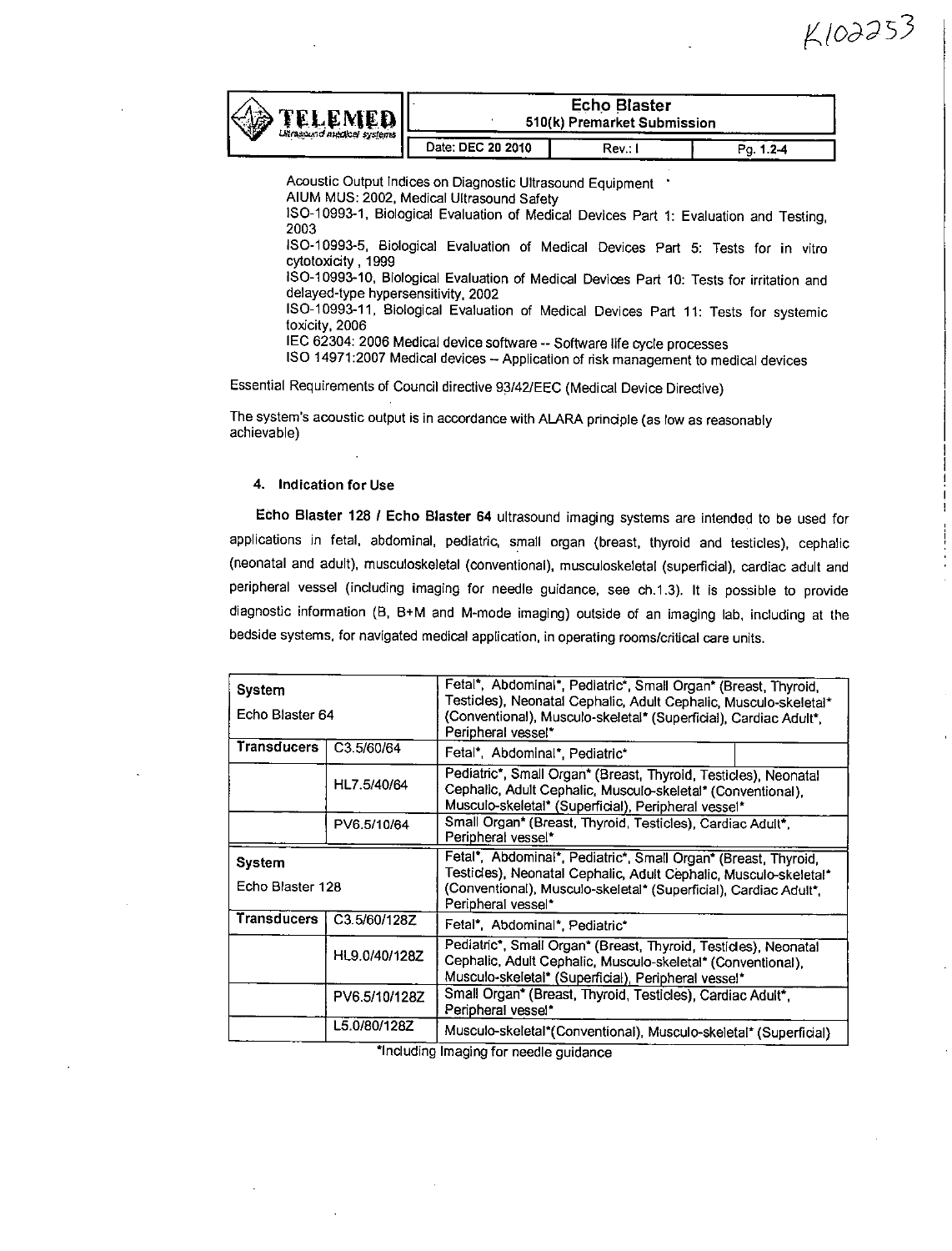| <b>TELEMED</b>   <br>第<br><b>Usessund medical systems</b> | <b>Echo Blaster</b><br>510(k) Premarket Submission |         |           |  |  |  |  |
|-----------------------------------------------------------|----------------------------------------------------|---------|-----------|--|--|--|--|
|                                                           | Date: DEC 20 2010                                  | Rev.: I | Po. 1.2-4 |  |  |  |  |

Acoustic Output Indices on Diagnostic Ultrasound Equipment . **AlUM MUS:** 2002, Medical Ultrasound Safety **150-10993-1.** Biological Evaluation of Medical Devices Part **1:** Evaluation and Testing, **2003 IS0-10993-5,** Biological Evaluation of Medical Devices Part **5:** Tests for in vitro cytotoxicity **,1999 ISO-10993-10,** Biological Evaluation of Medical Devices Part **10:** Tests for irritation and delayed-type hypersensitivity. 2002 **ISO-10993-11, Biological Evaluation of Medical Devices Part 11: Tests for systemic toxicity, 2006**<br>IEC 62304: 2006 Medical device software -- Software life cycle processes **ISO 14971: 2007 Medical devices -- Application of risk management to medical devices** 

Essential Requirements **of** Council directive **93/42/EEC** (Medical Device Directive)

The system's acoustic output is in accordance with ALARA principle (as low as reasonably achievable)

#### 4. Indication for Use

Echo Blaster **128 1** Echo Blaster 64 ultrasound imaging systems are intended to be used for applications in fetal, abdominal, pediatric, small organ (breast, thyroid and testicles), cephalic (neonatal and adult). musculoskeletal (conventional), musculoskeletal (superficial), cardiac adult and peripheral vessel (including imaging for needle guidance, see ch.1.3). It is possible to provide diagnostic information (B, B+M and M-mode imaging) outside of an imaging lab, including at the bedside systems, for navigated medical application, in operating rooms/critical care units.

| System             |               | Fetal*, Abdominal*, Pediatric*, Small Organ* (Breast, Thyroid,                                                                                                                        |                                                            |  |  |  |  |
|--------------------|---------------|---------------------------------------------------------------------------------------------------------------------------------------------------------------------------------------|------------------------------------------------------------|--|--|--|--|
| Echo Blaster 64    |               | Testicles), Neonatal Cephalic, Adult Cephalic, Musculo-skeletal*<br>(Conventional), Musculo-skeletal* (Superficial), Cardiac Adult*,<br>Peripheral vessel*                            |                                                            |  |  |  |  |
| <b>Transducers</b> | C3.5/60/64    | Fetal*, Abdominal*, Pediatric*                                                                                                                                                        |                                                            |  |  |  |  |
|                    | HL7.5/40/64   | Pediatric*, Small Organ* (Breast, Thyroid, Testicles), Neonatal<br>Cephalic, Adult Cephalic, Musculo-skeletal* (Conventional),<br>Musculo-skeletal* (Superficial), Peripheral vessel* |                                                            |  |  |  |  |
|                    | PV6.5/10/64   | Small Organ* (Breast, Thyroid, Testicles), Cardiac Adult*,<br>Peripheral vessel*                                                                                                      |                                                            |  |  |  |  |
| System             |               | Fetal*, Abdominal*, Pediatric*, Small Organ* (Breast, Thyroid,                                                                                                                        |                                                            |  |  |  |  |
| Echo Blaster 128   |               | Testicles), Neonatal Cephalic, Adult Cephalic, Musculo-skeletal*<br>(Conventional), Musculo-skeletal* (Superficial), Cardiac Adult*,<br>Peripheral vessel*                            |                                                            |  |  |  |  |
| <b>Transducers</b> | C3.5/60/128Z  | Fetal*, Abdominal*, Pediatric*                                                                                                                                                        |                                                            |  |  |  |  |
|                    | HL9.0/40/128Z | Pediatric*, Small Organ* (Breast, Thyroid, Testicles), Neonatal<br>Cephalic, Adult Cephalic, Musculo-skeletal* (Conventional),<br>Musculo-skeletal* (Superficial), Peripheral vessel* |                                                            |  |  |  |  |
|                    | PV6.5/10/128Z | Peripheral vessel*                                                                                                                                                                    | Small Organ* (Breast, Thyroid, Testicles), Cardiac Adult*, |  |  |  |  |
|                    | L5.0/80/128Z  | Musculo-skeletal*(Conventional), Musculo-skeletal* (Superficial)                                                                                                                      |                                                            |  |  |  |  |

'Including Imaging for needle guidance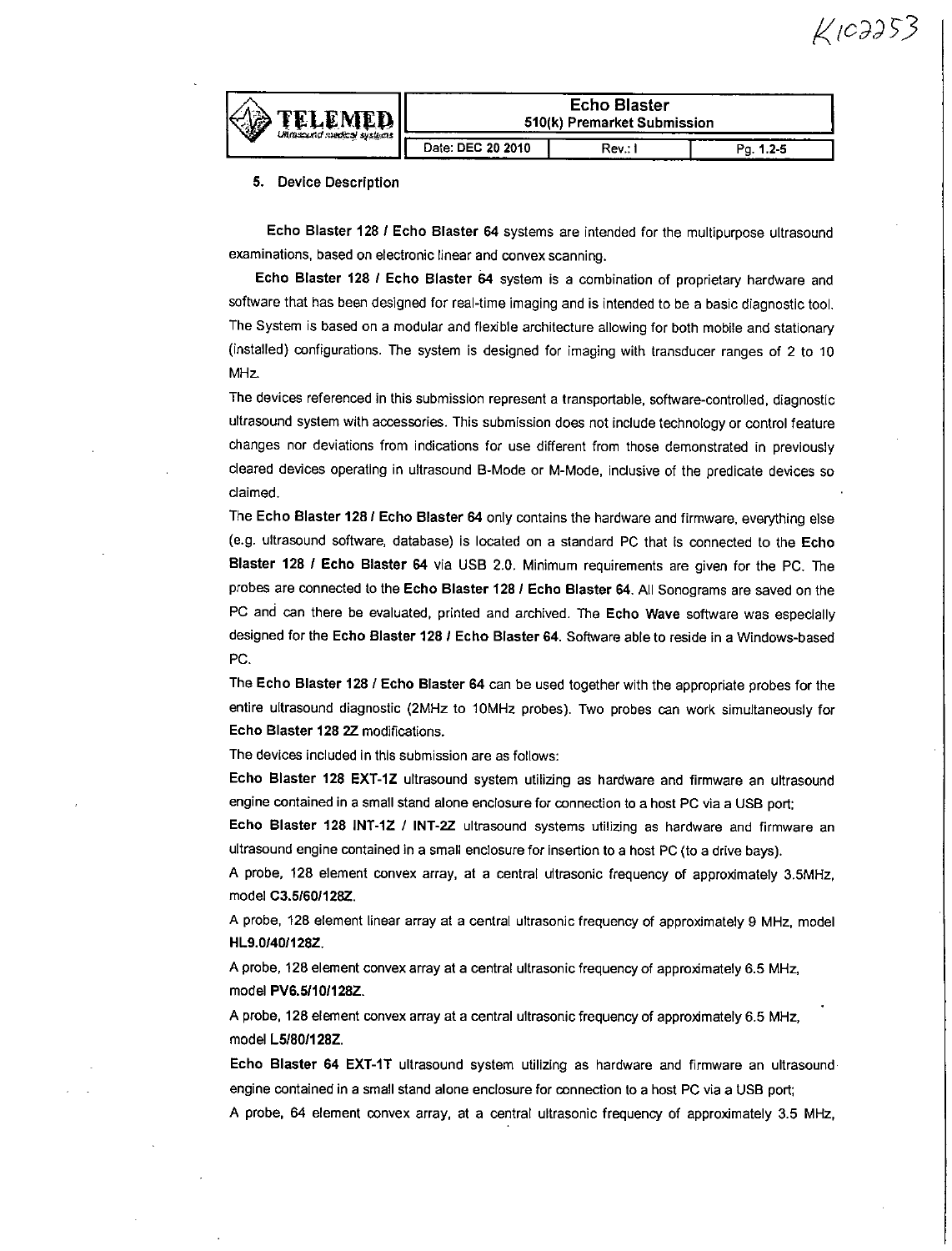

| <b>Echo Blaster</b>                       |  |  |  |  |  |  |  |
|-------------------------------------------|--|--|--|--|--|--|--|
| 510(k) Premarket Submission               |  |  |  |  |  |  |  |
| Date: DEC 20 2010<br>Rev.: I<br>Pa. 1.2-5 |  |  |  |  |  |  |  |

#### **5.** Device Description

Echo Blaster **128 1** Echo Blaster 64 systems are intended for the multipurpose ultrasound examinations, based on electronic linear and convex scanning.

Echo Blaster **128 1** Echo Blaster 64 system is a combination of proprietary hardware and software that has been designed for real-time imaging and is intended to be a basic diagnostic tool. The System is based on a modular and flexible architecture allowing for both mobile and stationary (installed) configurations. The system is designed for imaging with transducer ranges of 2 to **10** MHz.

The devices referenced in this submission represent a transportable, software-controlled, diagnostic ultrasound system with accessories. This submission does not include technology or control feature changes nor deviations from indications for use different from those demonstrated in previously cleared devices operating in ultrasound 8-Mode or M-Mode, indlusive of the predicate devices so claimed.

The Echo Blaster **1281** Echo Blaster 64 only contains the hardware and firmware, everything else (e.g. ultrasound software, database) is located on a standard **PC** that is connected to the Echo Blaster 128 **/** Echo Blaster 64 via **USB** 2.0. Minimum requirements are given for the **PC.** The probes are connected to the Echo Blaster **128 1** Echo Blaster 64. **All** Sonograms are saved on the **PC** and can there be evaluated, printed and archived. The Echo Wave software was especially designed for the Echo Blaster **128 1** Echo Blaster 64. Software able to reside in a Windows-based **PC.**

The Echo Blaster **128 /** Echo Blaster 64 can be used together with the appropriate probes for the entire ultrasound diagnostic (2MHz to 10MHz probes). Two probes can work simultaneously for Echo Blaster **128** 2Z modifications.

The devices included in this submission are as follows:

Echo Blaster **128** EXT-1Z ultrasound system utilizing as hardware and firmware an ultrasound engine contained in a small stand alone enclosure for connection to a host **PC** via a **USB** port:

Echo Blaster **128** iNT-1Z **/** INT-2Z ultrasound systems utilizing as hardware and firmware an ultrasound engine contained in a small enclosure for insertion to a host **PC** (to a drive bays).

**A** probe, 128 element convex array, at a central ultrasonic frequency of approximately 3.5MHz, model **C3.51601128Z.**

**A** probe, 128 element linear array at a central ultrasonic frequency of approximately **9** MHz, model HL9.O/40/128Z.

**A** probe, 128 element convex array at a central ultrasonic frequency of approximately **6.5** MHz, model PV&5I1101128Z.

**A** probe, **128** element convex array at a central ultrasonic frequency of approximately **6.5** MHz, model **L5/80/128Z.**

Echo Blaster 64 EXT-IT ultrasound system utilizing as hardware and firmware an ultrasound engine contained in a small stand alone enclosure for connection to a host **PC** via a **USB** port; **A** probe, 64 element convex array, at a central ultrasonic frequency of approximately **3.5** MHz,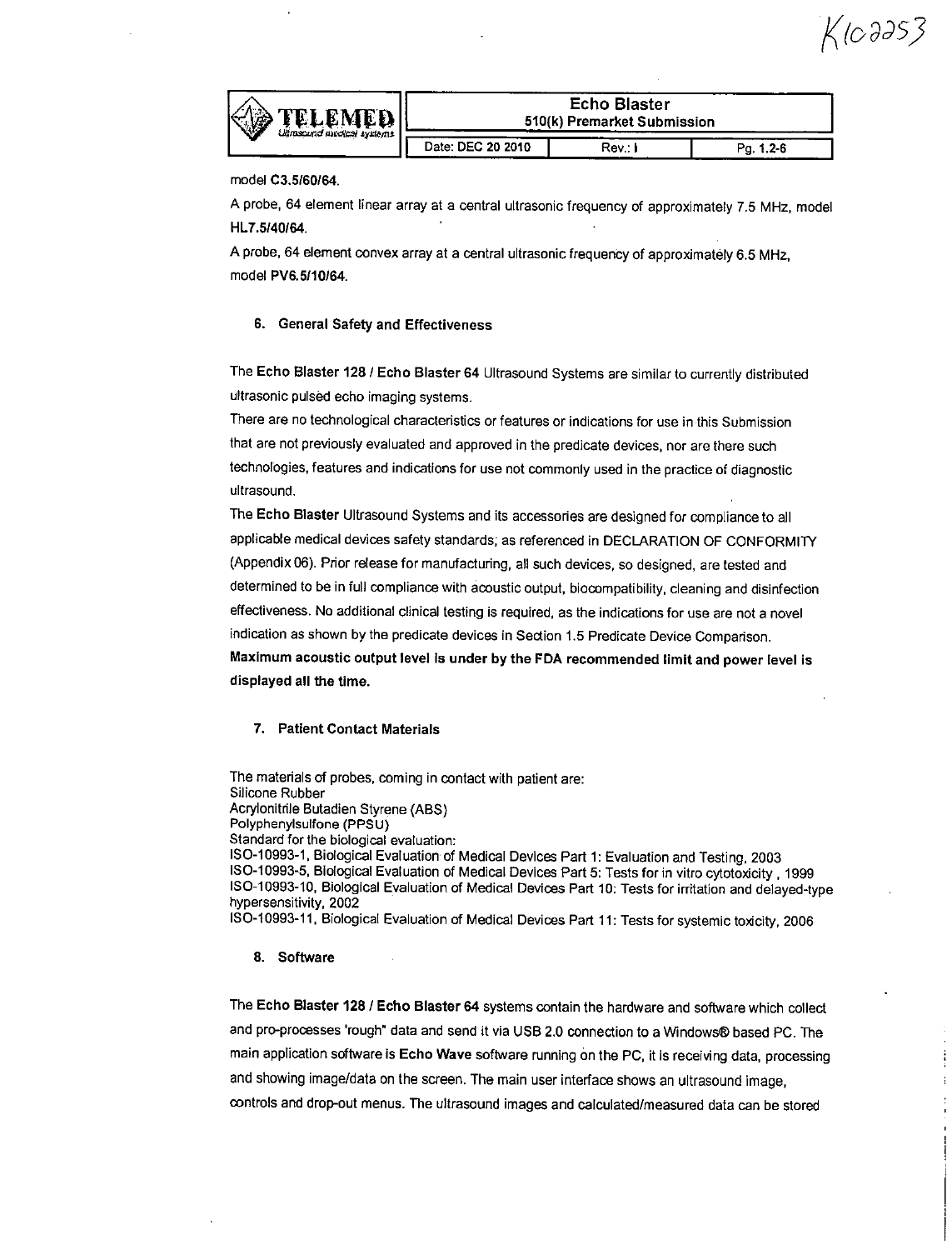Қ (0 дӘ 5 3



| <b>Echo Blaster</b>                       |  |  |  |  |  |  |  |
|-------------------------------------------|--|--|--|--|--|--|--|
| 510(k) Premarket Submission               |  |  |  |  |  |  |  |
| Date: DEC 20 2010<br>Rev.: I<br>Pa. 1.2-6 |  |  |  |  |  |  |  |

model **C3.5160164.**

**A** probe, 64 element linear array at a central ultrasonic frequency of approximately **7.5** MHz, model HL7.5140164.

**A** probe, 64 element convex array at a central ultrasonic frequency of approximately **6.5** MHz, model PV6.5110/64.

#### **6.** General Safety and Effectiveness

The Echo Blaster **128 /** Echo Blaster 64 Ultrasound Systems are similar to currently distributed ultrasonic pulsed echo imaging systems.

There are no technological characteristics or features or indications for use in this Submission that are not previously evaluated and approved in the predicate devices, nor are there such technologies, features and indications for use not commonly used in the practice of diagnostic ultrasound.

The Echo Blaster Ultrasound Systems and its accessories are designed for compliance to all applicable medical devices safety standards, as referenced in **DECLARATION** OF CONFORMITY (Appendix **06).** Prior release for manufacturing, all such devices, so designed, are tested and determined to be in full compliance with acoustic output, biocompatibility, cleaning and disinfection effectiveness. No additional clinical testing is required, as the indications for use are not a novel indication as shown **by** the predicate devices in Section **1.5** Predicate Device Comparison. Maximum acoustic output level Is under **by** the **FDA** recommended limit and power level is displayed all the time.

#### **7.** Patient Contact Materials

The materials **of** probes, coming in contact with patient are: Silicone Rubber Acrylonitrle Butadien Styrene **(ABS)** Polyphenylsulfone **(PPSU)** Standard for the biological evaluation: **IS0-10993-1,** Biological Evaluation of Medical Devices Part **1:** Evaluation and Testing, **2003** ISO-10993-5, Biological Evaluation of Medical Devices Part 5: Tests for in vitro cytotoxicity, 1999<br>ISO-10993-10, Biological Evaluation of Medical Devices Part 10: Tests for irritation and delayed-type hypersensitivity, 2002

**ISO-10993-1 1.** Biological Evaluation of Medical Devices Part **11:** Tests for systemic toxicity, **<sup>2008</sup>**

#### **8.** Software

The Echo Blaster **128 /** Echo Blaster 64 systems contain the hardware and software which collect and pro-processes 'rough" data and send it via USB 2.0 connection to a Windows® based PC. The main application software is Echo Wave software running dn the **PC,** it is receiving data, processing and showing image/data on the screen. The main user interface shows an ultrasound image, controls and drop-out menus. The ultrasound images and calculated/measured data can be stored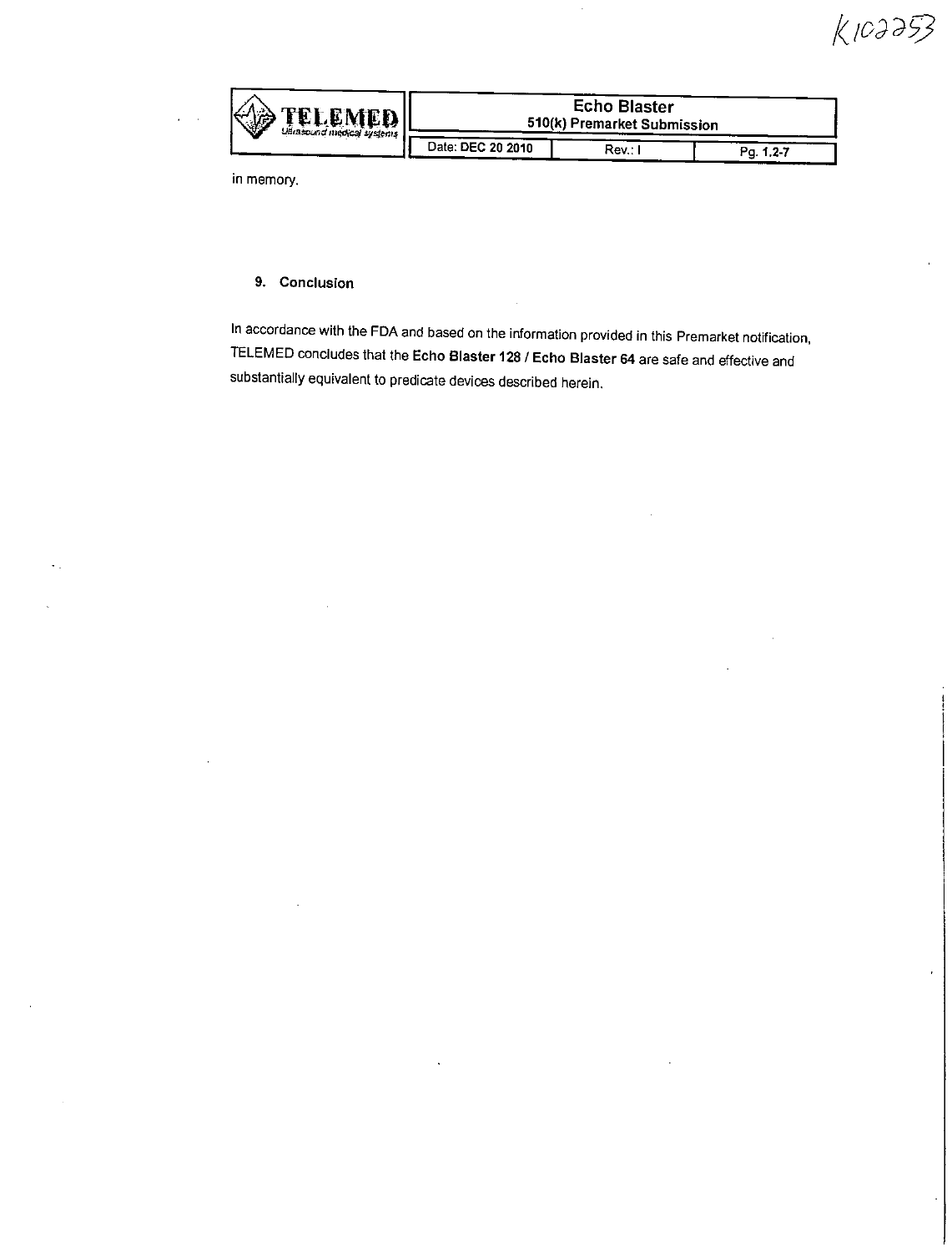$K103353$ 

| <b>TELEMEDI</b><br>39<br>udnazouna medical systems | <b>Echo Blaster</b><br>510(k) Premarket Submission |  |  |  |  |  |  |  |
|----------------------------------------------------|----------------------------------------------------|--|--|--|--|--|--|--|
| Date: DEC 20 2010                                  | Rev.:                                              |  |  |  |  |  |  |  |

in memory.

#### **9.** Conclusion

In accordance with the **FDA** and based on the information provided in this Premarket notification, **TELEMED** concludes that the Echo Blaster 128 **/** Echo Blaster 64 are safe and effective and substantially equivalent to predicate devices described herein.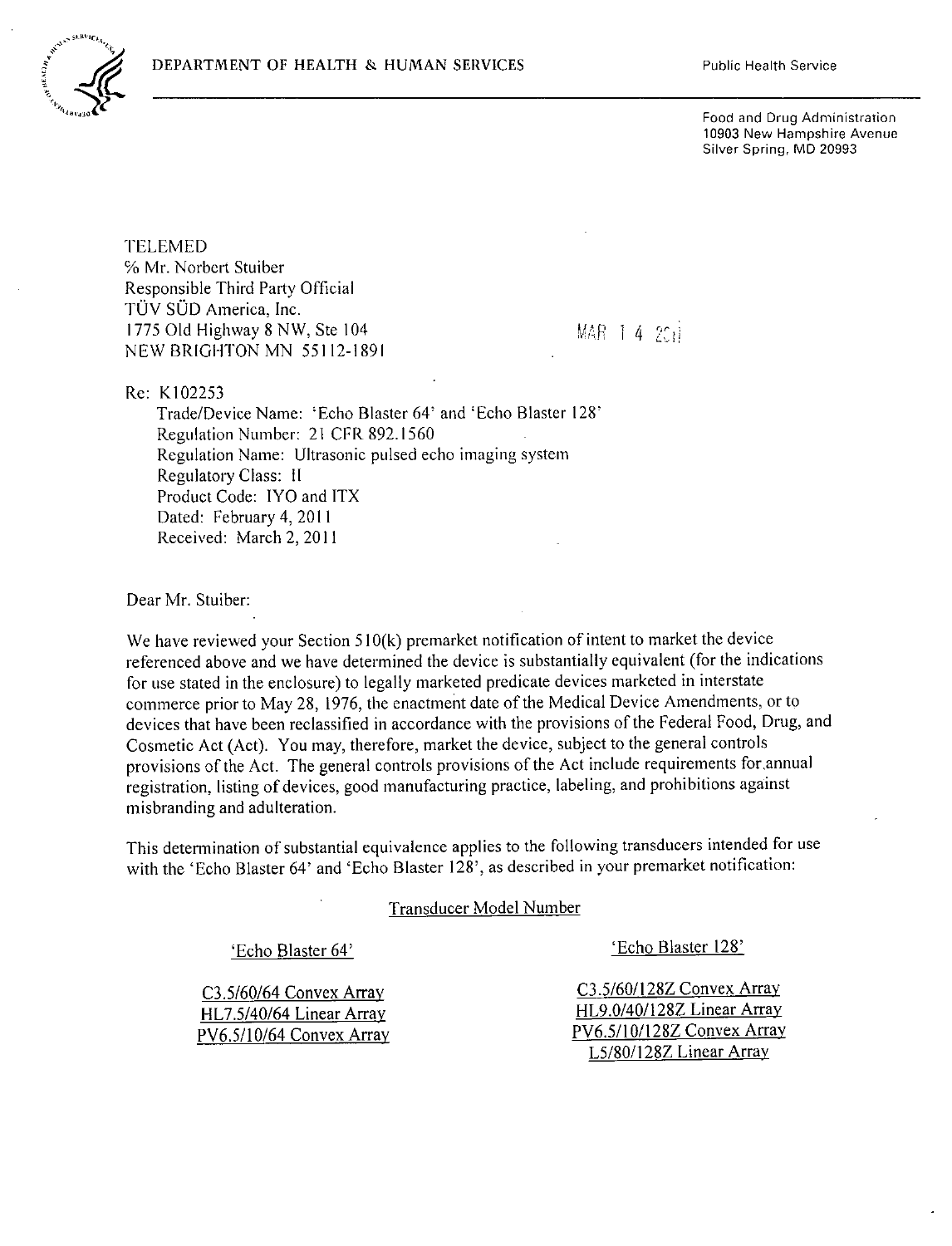

Food and Drug Administration **10903** New Hampshire Avenue Silver Spring, MID **20993**

**TELEMED %** Mr. Norbert Stuiber Responsible Third Party Official TUV **SOD** America, Inc. **1775 Old Highway 8 NW, Ste 104** 4 **MAR** 1 4  $25i$ **NEW** BRIGHTON **MN** *551* **12-1891I**

Re: K102253

Trade/Device Name: 'Echo Blaster 64' and 'Echo Blaster 128' Regulation Number: 21 CFR **892.1560** Regulation Name: Ultrasonic pulsed echo imaging system Regulatory Class: **11** Product Code: IYG and ITX Dated: February 4, 2011 Received: March 2,2011

Dear Mr. Stuiber:

We have reviewed your Section **5 10(k)** premarket notification of intent to market the device referenced above and we have determined the device is substantially equivalent (for the indications for Use stated in the enclosure) to legally marketed predicate devices marketed in interstate commerce prior to May **28, 1976,** the enactment date of the Medical Device Amendments, or to devices that have been reclassified in accordance with the provisions of the Federal Food, Drug, and Cosmetic Act (Act). You may, therefore, market the device, subject to the general controls provisions of the Act. The general controls provisions of the Act include requirements forannual registration, listing of devices, good manufacturing practice, labeling, and prohibitions against misbranding and adulteration.

This determination of substantial equivalence applies to the following transducers intended for use with the 'Echo Blaster 64' and 'Echo Blaster **128',** as described in your premarket notification:

Transducer Model Number

PV6.5/10/64 Convex Array

'Echo Blaster 64' 'Echo Blaster **128'**

C3.5/60/64 Convex Array <br> **C3.5/60/128Z Convex Array** <br>
HL9.0/40/128Z Linear Array <br>
HL9.0/40/128Z Linear Array HL7.5/40/64 Linear Array<br>PV6.5/10/64 Convex Array PV6.5/10/128Z Convex Array **L5/80/128Z** Linear Array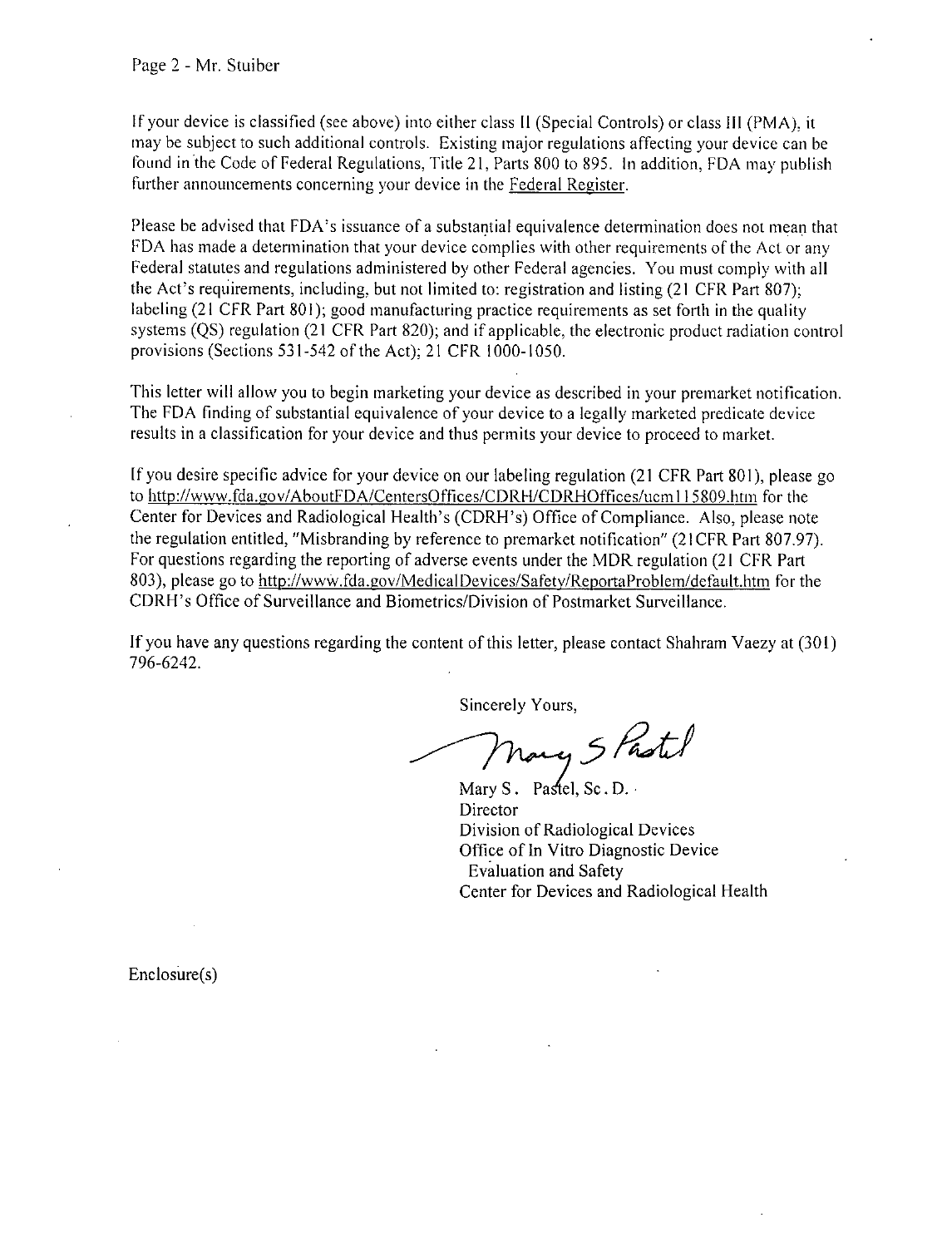**If** your device is classified (see above) into either class **11** (Special Controls) or class **Ill** (PMA), it may **be** subject to such additional controls. Existing major regulations affecting your device can be Found in the Code of Federal Regulations, Title 2 **1,** Parts **800** to **895.** In addition, **FDA** may publish further announcements concerning your device in the Federal Register.

Please be advised that FDA's issuance of a substantial equivalence determination does not mean that **FDA** has made a determination that your device complies with other requirements of the Act or any Federal statutes and regulations administered **by** other Federal agencies. You must comply with all the Act's requirements, including, but not limited to: registration and listing (21 CFR Part **807);** labeling (21 CFR Part 801); good manufacturing practice requirements as set forth in the quality systems **(QS)** regulation (21 CFR Part **820);** and if applicable, the electronic product radiation control provisions (Sections **531-542** of the Act); 2 **1** CFR **1000- 1050.**

This letter will allow you to begin marketing your device as described in your premarket notification. The **FDA** Finding of substantial equivalence of your device to a legally marketed predicate device results in a classification for your device and thus permits your device to proceed to market.

**[f** you desire specific advice for your device on our labeling regulation (21 CFR Part **801),** please go to http://www.fda.gov/AboutFDA/CentersOffices/CDRH/CDRHOffices/ucm115809.htm for the Center for Devices and Radiological Health's (CDRI-'s) Office of Compliance. Also, please note the regulation entitled, "Misbranding **by** reference to premarket notification" (21 CFR Part **807.97).** For questions regarding the reporting of adverse events under the MDR regulation (21 CFR Part 803), please go to http://www.fda.gov/MedicalDevices/Safety/ReportaProblem/default.htm for the CDRH's Office of Surveillance and Biometrics/Division of Postmarket Surveillance.

**If** you have any questions regarding the content of this letter, please contact Shahram Vaezy at **(301) 796-6242.**

Sincerely Yours,

nary 5 Pastel

Mary S. Pastel, Sc.D. Director Division of Radiological Devices Office of In Vitro Diagnostic Device Evaluation and Safety Center for Devices and Radiological Health

Enclosure(s)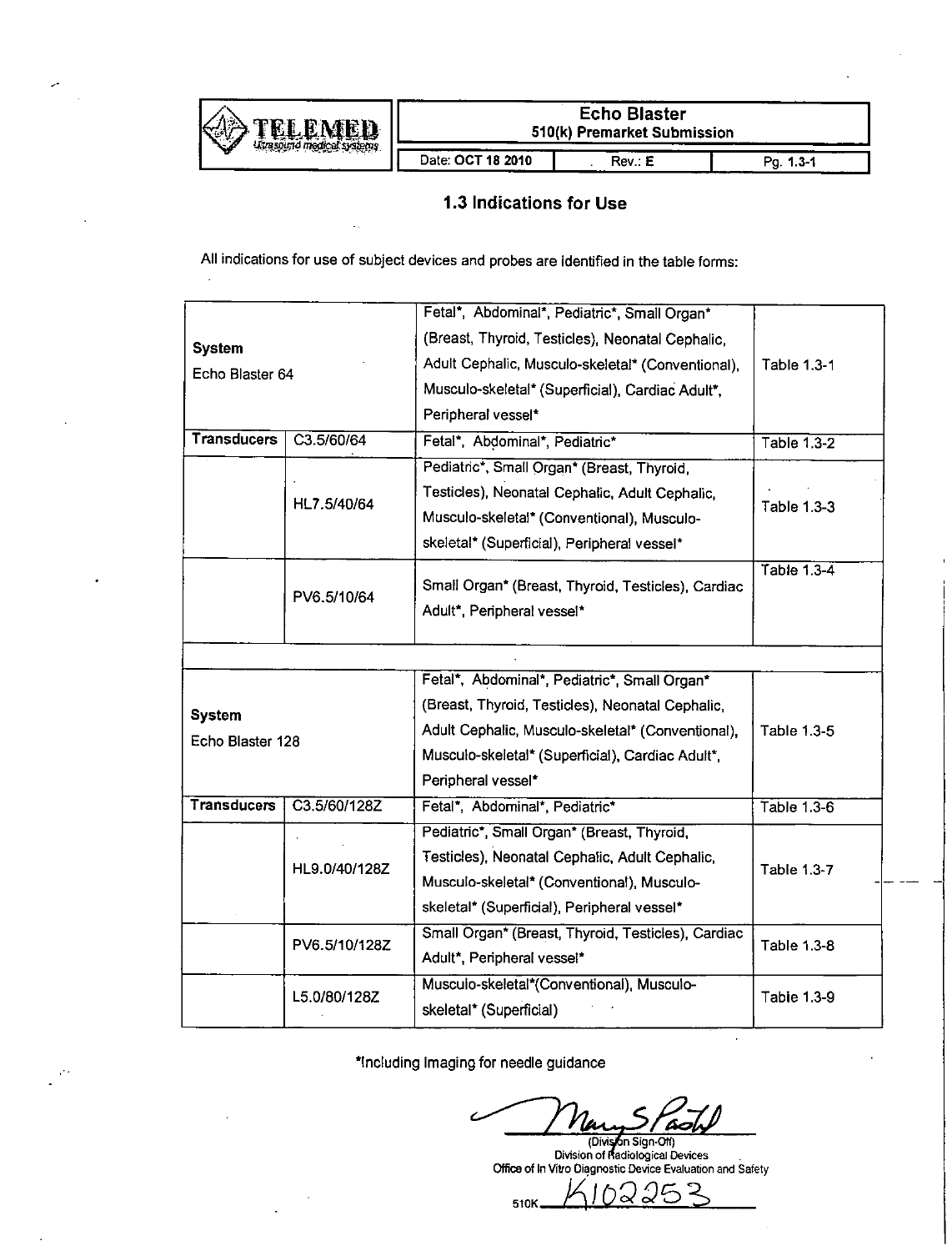

# **1.3** Indications for Use

**All** indications for use of subject devices and probes are identified in the table forms:

|                    |               | Fetal*, Abdominal*, Pediatric*, Small Organ*       |                    |
|--------------------|---------------|----------------------------------------------------|--------------------|
| <b>System</b>      |               | (Breast, Thyroid, Testicles), Neonatal Cephalic,   |                    |
| Echo Blaster 64    |               | Adult Cephalic, Musculo-skeletal* (Conventional),  | Table 1.3-1        |
|                    |               | Musculo-skeletal* (Superficial), Cardiac Adult*,   |                    |
|                    |               | Peripheral vessel*                                 |                    |
| <b>Transducers</b> | C3.5/60/64    | Fetal*, Abdominal*, Pediatric*                     | Table 1.3-2        |
|                    |               | Pediatric*, Small Organ* (Breast, Thyroid,         |                    |
|                    |               | Testicles), Neonatal Cephalic, Adult Cephalic,     |                    |
|                    | HL7.5/40/64   | Musculo-skeletal* (Conventional), Musculo-         | Table 1.3-3        |
|                    |               | skeletal* (Superficial), Peripheral vessel*        |                    |
|                    |               |                                                    | Table 1.3-4        |
|                    | PV6.5/10/64   | Small Organ* (Breast, Thyroid, Testicles), Cardiac |                    |
|                    |               | Adult*, Peripheral vessel*                         |                    |
|                    |               |                                                    |                    |
|                    |               | Fetal*, Abdominal*, Pediatric*, Small Organ*       |                    |
| <b>System</b>      |               | (Breast, Thyroid, Testicles), Neonatal Cephalic,   |                    |
| Echo Blaster 128   |               | Adult Cephalic, Musculo-skeletal* (Conventional),  | Table 1.3-5        |
|                    |               | Musculo-skeletal* (Superficial), Cardiac Adult*,   |                    |
|                    |               | Peripheral vessel*                                 |                    |
| <b>Transducers</b> | C3.5/60/128Z  | Fetal*, Abdominal*, Pediatric*                     | Table 1.3-6        |
|                    |               | Pediatric*, Small Organ* (Breast, Thyroid,         |                    |
|                    | HL9.0/40/128Z | Testicles), Neonatal Cephalic, Adult Cephalic,     | <b>Table 1.3-7</b> |
|                    |               | Musculo-skeletal* (Conventional), Musculo-         |                    |
|                    |               | skeletal* (Superficial), Peripheral vessel*        |                    |
| PV6.5/10/128Z      |               | Small Organ* (Breast, Thyroid, Testicles), Cardiac | Table 1.3-8        |
|                    |               |                                                    |                    |
|                    |               | Adult*, Peripheral vessel*                         |                    |
|                    | L5.0/80/128Z  | Musculo-skeletal*(Conventional), Musculo-          | Table 1.3-9        |

Including Imaging for needle guidance

510K

**Division of Radiological Devices** Office of In Vitro Diagnostic Device Evaluation and Safety

 $\bigcap$ 

 $52$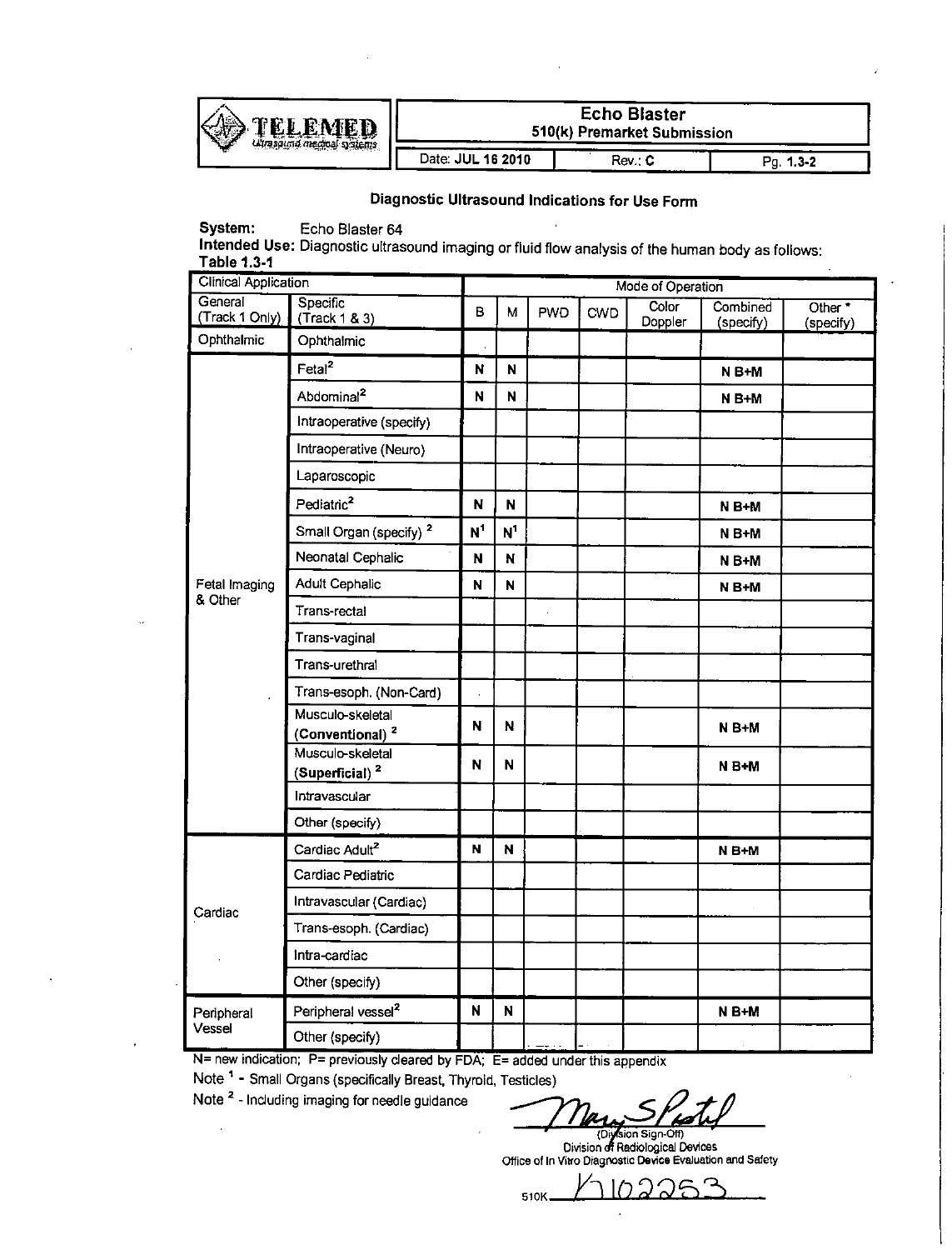

| TELEMED<br>ulraspund medical systems |                   | <b>Echo Blaster</b><br>510(k) Premarket Submission |                  |
|--------------------------------------|-------------------|----------------------------------------------------|------------------|
|                                      | Date: JUL 16 2010 | Rev. C                                             | $1.3 - 2$<br>Pa. |

# Diagnostic Ultrasound Indications for Use Form

System: Echo Blaster 64

Intended Use: Diagnostic ultrasound imaging or fluid flow analysis of the human body as follows: Table **1.3-1**

| <b>Clinical Application</b> |                                                 |                | Mode of Operation |            |            |                  |                       |                                 |  |
|-----------------------------|-------------------------------------------------|----------------|-------------------|------------|------------|------------------|-----------------------|---------------------------------|--|
| General<br>(Track 1 Only)   | Specific<br>(Trock 1 & 3)                       | B              | М                 | <b>PWD</b> | <b>CWD</b> | Color<br>Doppler | Combined<br>(specify) | Other <sup>*</sup><br>(specify) |  |
| Ophthalmic                  | Ophthalmic                                      |                |                   |            |            |                  |                       |                                 |  |
|                             | Fetal <sup>2</sup>                              | N              | N                 |            |            |                  | N B+M                 |                                 |  |
|                             | Abdominal <sup>2</sup>                          | N              | N                 |            |            |                  | N B+M                 |                                 |  |
|                             | Intraoperative (specify)                        |                |                   |            |            |                  |                       |                                 |  |
|                             | Intraoperative (Neuro)                          |                |                   |            |            |                  |                       |                                 |  |
|                             | Laparoscopic                                    |                |                   |            |            |                  |                       |                                 |  |
|                             | Pediatric <sup>2</sup>                          | N              | N                 |            |            |                  | N B+M                 |                                 |  |
|                             | Small Organ (specify) <sup>2</sup>              | N <sup>1</sup> | N <sup>1</sup>    |            |            |                  | N B+M                 |                                 |  |
|                             | Neonatal Cephalic                               | N              | N                 |            |            |                  | $N B+M$               |                                 |  |
| Fetal Imaging               | <b>Adult Cephalic</b>                           | N              | N                 |            |            |                  | N B+M                 |                                 |  |
| & Other                     | Trans-rectal                                    |                |                   |            |            |                  |                       |                                 |  |
|                             | Trans-vaginal                                   |                |                   |            |            |                  |                       |                                 |  |
|                             | Trans-urethral                                  |                |                   |            |            |                  |                       |                                 |  |
|                             | Trans-esoph. (Non-Card)                         |                |                   |            |            |                  |                       |                                 |  |
|                             | Musculo-skeletal<br>(Conventional) <sup>2</sup> | N              | N                 |            |            |                  | N B+M                 |                                 |  |
|                             | Musculo-skeletal<br>(Superficial) <sup>2</sup>  | N              | N                 |            |            |                  | $N B+M$               |                                 |  |
|                             | Intravascular                                   |                |                   |            |            |                  |                       |                                 |  |
|                             | Other (specify)                                 |                |                   |            |            |                  |                       |                                 |  |
|                             | Cardiac Adult <sup>2</sup>                      | N              | N                 |            |            |                  | $N B+M$               |                                 |  |
|                             | Cardiac Pediatric                               |                |                   |            |            |                  |                       |                                 |  |
| Cardiac                     | Intravascular (Cardiac)                         |                |                   |            |            |                  |                       |                                 |  |
|                             | Trans-esoph. (Cardiac)                          |                |                   |            |            |                  |                       |                                 |  |
|                             | Intra-cardiac                                   |                |                   |            |            |                  |                       |                                 |  |
|                             | Other (specify)                                 |                |                   |            |            |                  |                       |                                 |  |
| Peripheral                  | Peripheral vessel <sup>2</sup>                  | N              | N                 |            |            |                  | $N B+M$               |                                 |  |
| Vessel                      | Other (specify)                                 |                |                   |            |            |                  |                       |                                 |  |

**N=** new indication; P= previously cleared **by FDA; E=** added under this appendix

Note **" -** Small Organs (specifically Breast, Thyroid, Testicles)

Note **2** -Including imaging for needle guidance

Division off Radiological Devices<br>Office of In Vitro Diagnostic D<mark>evice Evaluation and Saf</mark>ety

↷ 510K-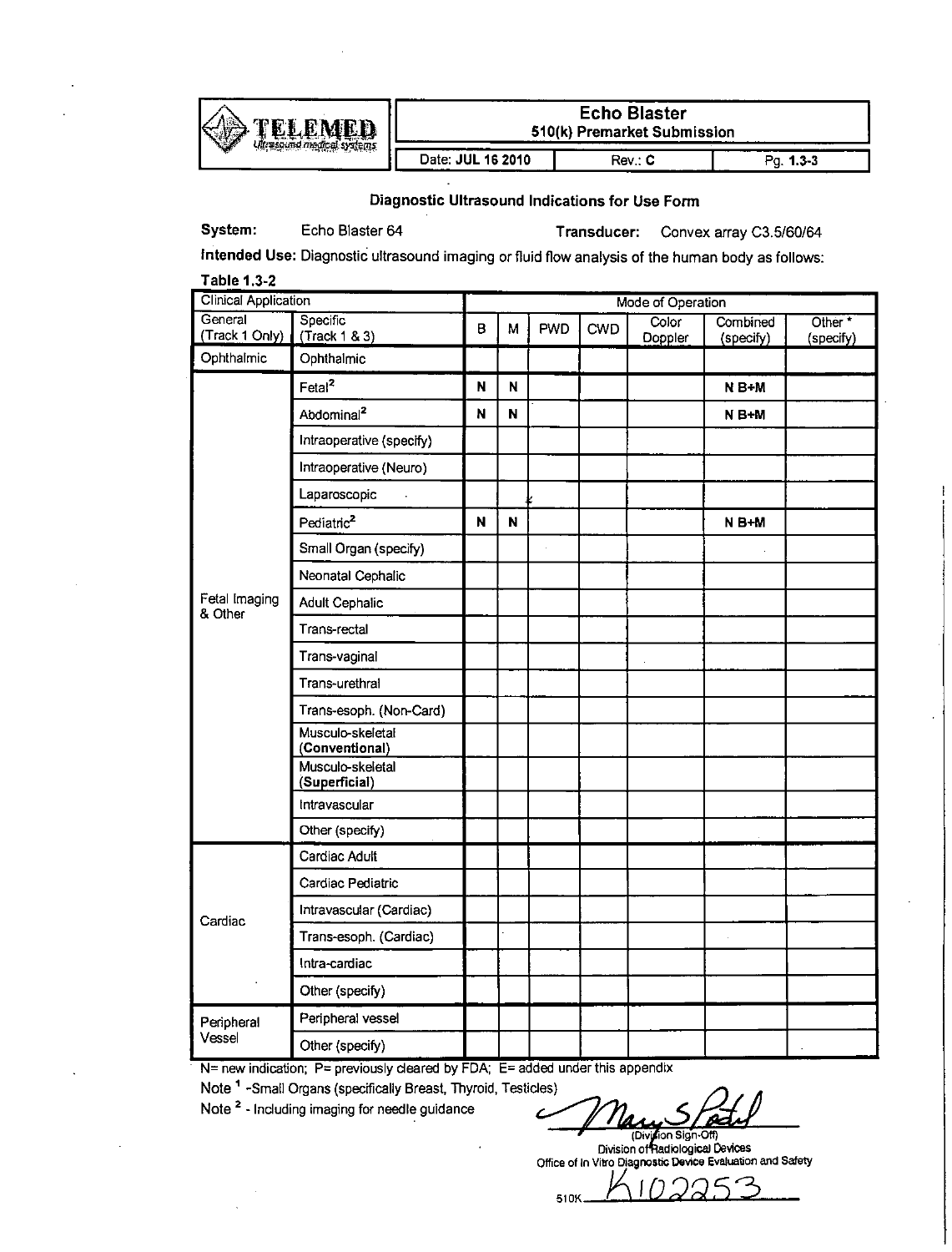

# **610(k) Premarket Submission**<br>Date: JUL 16 2010 Rev.: C

#### Diagnostic Ultrasound Indications for Use Form

System: Echo Blaster 64 Transducer: Convex array *C3.5/60/64*

Intended Use: Diagnostic ultrasound imaging or fluid flow analysis of the human body as follows:

| <b>Table 1.3-2</b>              |                                    |    |                   |            |     |                  |                       |                                 |  |
|---------------------------------|------------------------------------|----|-------------------|------------|-----|------------------|-----------------------|---------------------------------|--|
| Clinical Application<br>General |                                    |    | Mode of Operation |            |     |                  |                       |                                 |  |
| (Track 1 Only)                  | <b>Specific</b><br>(Track 1 & 3)   | B. | М                 | <b>PWD</b> | CWD | Color<br>Doppler | Combined<br>(specify) | Other <sup>*</sup><br>(specify) |  |
| Ophthalmic                      | Ophthalmic                         |    |                   |            |     |                  |                       |                                 |  |
|                                 | Fetal <sup>2</sup>                 | N  | N                 |            |     |                  | N B+M                 |                                 |  |
|                                 | Abdominal <sup>2</sup>             | N  | N                 |            |     |                  | N B+M                 |                                 |  |
|                                 | Intraoperative (specify)           |    |                   |            |     |                  |                       |                                 |  |
|                                 | Intraoperative (Neuro)             |    |                   |            |     |                  |                       |                                 |  |
|                                 | Laparoscopic                       |    |                   |            |     |                  |                       |                                 |  |
|                                 | Pediatric <sup>2</sup>             | N  | N                 |            |     |                  | N B+M                 |                                 |  |
|                                 | Small Organ (specify)              |    |                   |            |     |                  |                       |                                 |  |
|                                 | Neonatal Cephalic                  |    |                   |            |     |                  |                       |                                 |  |
| Fetal Imaging<br>& Other        | <b>Adult Cephalic</b>              |    |                   |            |     |                  |                       |                                 |  |
|                                 | Trans-rectal                       |    |                   |            |     |                  |                       |                                 |  |
|                                 | Trans-vaginal                      |    |                   |            |     |                  |                       |                                 |  |
|                                 | Trans-urethral                     |    |                   |            |     |                  |                       |                                 |  |
|                                 | Trans-esoph. (Non-Card)            |    |                   |            |     |                  |                       |                                 |  |
|                                 | Musculo-skeletal<br>(Conventional) |    |                   |            |     |                  |                       |                                 |  |
|                                 | Musculo-skeletal<br>(Superficial)  |    |                   |            |     |                  |                       |                                 |  |
|                                 | Intravascular                      |    |                   |            |     |                  |                       |                                 |  |
|                                 | Other (specify)                    |    |                   |            |     |                  |                       |                                 |  |
|                                 | Cardiac Adult                      |    |                   |            |     |                  |                       |                                 |  |
|                                 | Cardiac Pediatric                  |    |                   |            |     |                  |                       |                                 |  |
| Cardiac                         | Intravascular (Cardiac)            |    |                   |            |     |                  |                       |                                 |  |
|                                 | Trans-esoph. (Cardiac)             |    |                   |            |     |                  |                       |                                 |  |
|                                 | Intra-cardiac                      |    |                   |            |     |                  |                       |                                 |  |
|                                 | Other (specify)                    |    |                   |            |     |                  |                       |                                 |  |
| Peripheral                      | Peripheral vessel                  |    |                   |            |     |                  |                       |                                 |  |
| Vessel                          | Other (specify)                    |    |                   |            |     |                  |                       |                                 |  |

**N=** new indication; P= previously cleared by FDA; E= added under this appendix

Note<sup>1</sup> -Small Organs (specifically Breast, Thyroid, Testicles)

Note <sup>2</sup> - Including imaging for needle guidance

Division Sign-Off)<br>Division of Radiological Devices<br>Office of in Vitro Diagnostic Device Evaluation and Safety

510K **DIU 225**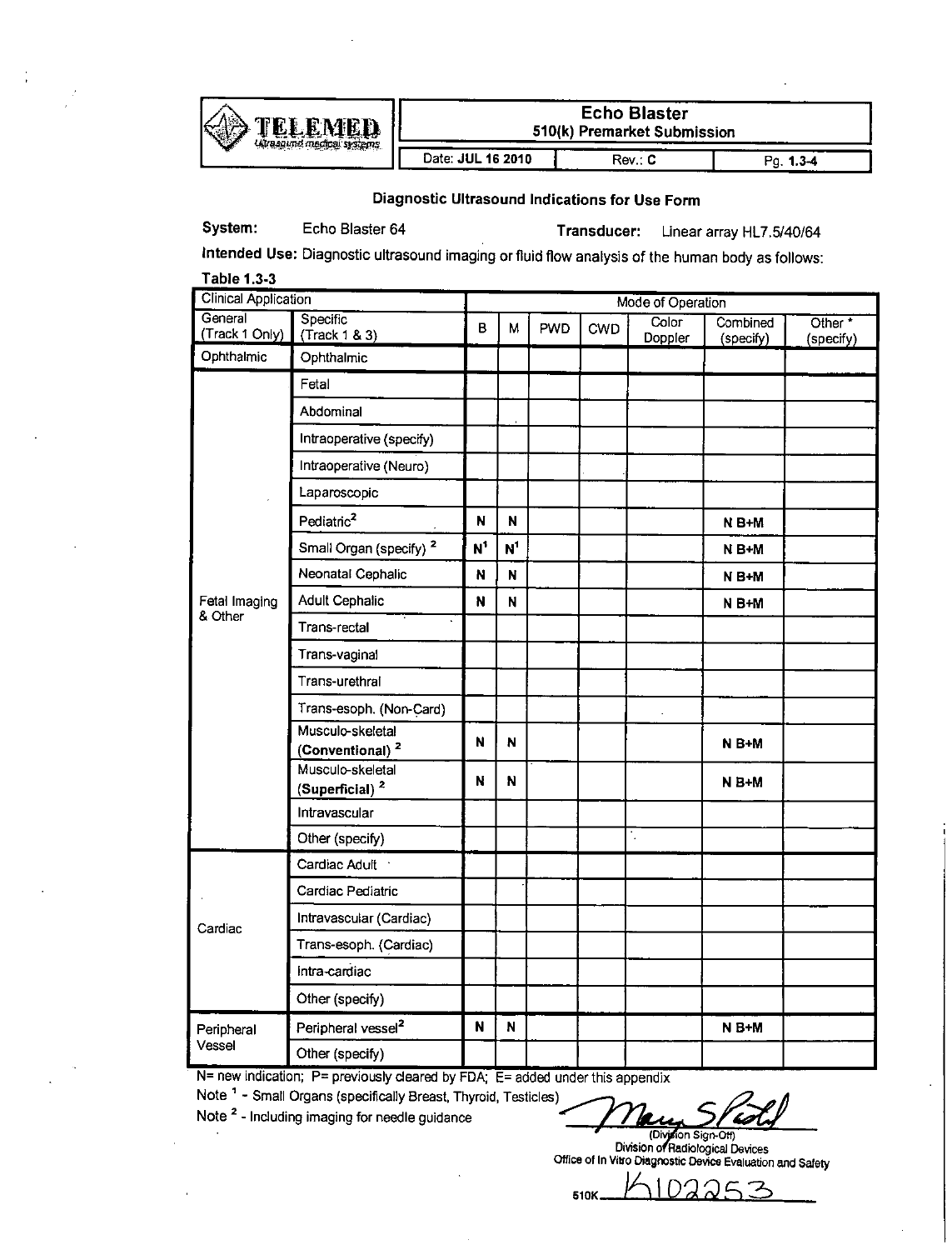

**Echo Blaster 510(k)** Premarket Submission

Date: **JUL 16 2010 Rev.: C Pg. 1.3-4** 

Diagnostic Ultrasound Indications for Use Form

System: Echo Blaster 64 Transducer: Linear array HL7.5/40/64

Intended Use: Diagnostic ultrasound imaging or fluid flow analysis of the human body as follows: Table **1.3-3**

| <b>Clinical Application</b> |                                                 |                         | Mode of Operation |            |            |                               |                       |                      |  |
|-----------------------------|-------------------------------------------------|-------------------------|-------------------|------------|------------|-------------------------------|-----------------------|----------------------|--|
| General<br>(Track 1 Only)   | Specific<br>(Track 1 & 3)                       | B                       | М                 | <b>PWD</b> | <b>CWD</b> | Color <sup>7</sup><br>Doppler | Combined<br>(specify) | Other *<br>(specify) |  |
| Ophthalmic                  | Ophthalmic                                      |                         |                   |            |            |                               |                       |                      |  |
|                             | Fetal                                           |                         |                   |            |            |                               |                       |                      |  |
|                             | Abdominal                                       |                         |                   |            |            |                               |                       |                      |  |
|                             | Intraoperative (specify)                        |                         |                   |            |            |                               |                       |                      |  |
|                             | Intraoperative (Neuro)                          |                         |                   |            |            |                               |                       |                      |  |
|                             | Laparoscopic                                    |                         |                   |            |            |                               |                       |                      |  |
|                             | Pediatric <sup>2</sup>                          | N                       | N                 |            |            |                               | $N B+M$               |                      |  |
|                             | Small Organ (specify) <sup>2</sup>              | $N^1$                   | N <sup>1</sup>    |            |            |                               | <b>NB+M</b>           |                      |  |
|                             | Neonatal Cephalic                               | N                       | N                 |            |            |                               | N B+M                 |                      |  |
| Fetal Imaging               | <b>Adult Cephalic</b>                           | N                       | N                 |            |            |                               | N B+M                 |                      |  |
| & Other                     | Trans-rectal                                    |                         |                   |            |            |                               |                       |                      |  |
|                             | Trans-vaginal                                   |                         |                   |            |            |                               |                       |                      |  |
|                             | Trans-urethral                                  |                         |                   |            |            |                               |                       |                      |  |
|                             | Trans-esoph. (Non-Card)                         |                         |                   |            |            |                               |                       |                      |  |
|                             | Musculo-skeletal<br>(Conventional) <sup>2</sup> | $\overline{\mathsf{N}}$ | N                 |            |            |                               | $N B+M$               |                      |  |
|                             | Musculo-skeletal                                |                         |                   |            |            |                               |                       |                      |  |
|                             | (Superficial) <sup>2</sup>                      | N                       | N                 |            |            |                               | $N B+M$               |                      |  |
|                             | Intravascular                                   |                         |                   |            |            |                               |                       |                      |  |
|                             | Other (specify)                                 |                         |                   |            |            | ۰.                            |                       |                      |  |
|                             | Cardiac Adult .                                 |                         |                   |            |            |                               |                       |                      |  |
|                             | Cardiac Pediatric                               |                         |                   |            |            |                               |                       |                      |  |
| Cardiac                     | Intravascular (Cardiac)                         |                         |                   |            |            |                               |                       |                      |  |
|                             | Trans-esoph. (Cardiac)                          |                         |                   |            |            |                               |                       |                      |  |
|                             | Intra-cardiac                                   |                         |                   |            |            |                               |                       |                      |  |
|                             | Other (specify)                                 |                         |                   |            |            |                               |                       |                      |  |
| Peripheral                  | Peripheral vessel <sup>2</sup>                  | N                       | N                 |            |            |                               | N B+M                 |                      |  |
| Vessel                      | Other (specify)                                 |                         |                   |            |            |                               |                       |                      |  |

**N=** new indication; P= previously cleared **by FDA; E=** added under this appendix

Note <sup>1</sup> - Small Organs (specifically Breast, Thyroid, Testicles)

Note **2** -Including imaging for needle guidance

(Division Sign-Off)<br>Division of Radiological Devices<br>Office of In Vitro Diagnostic Device Evaluation and Safety

**D81Q0K**

510

つ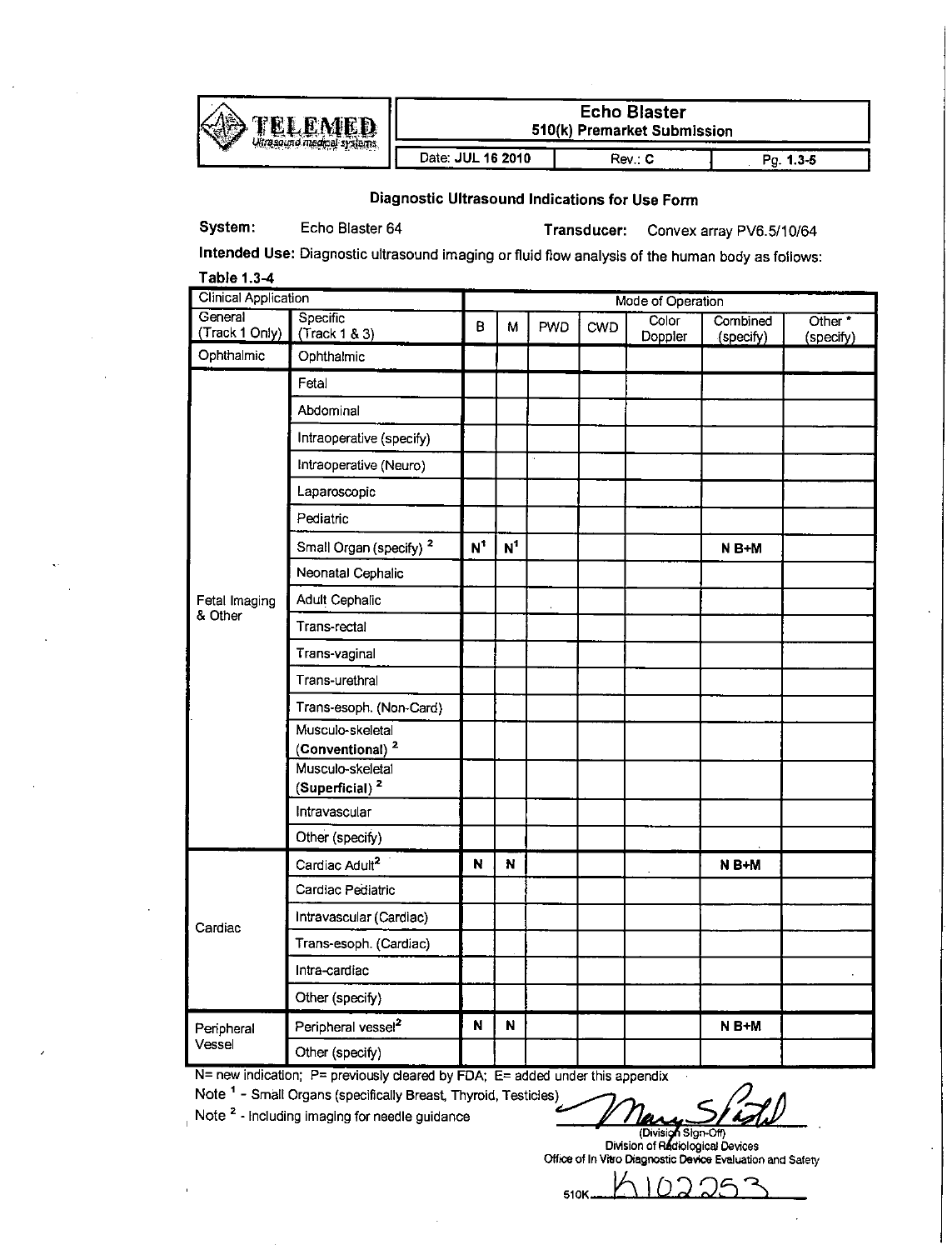

**TELEMED Concrete Concrete Submission** 

\_\_\_\_\_\_\_\_\_\_\_\_\_\_\_\_ **I\_** Date: **JUL 16** 2010 Rev.: **C Pg. 1.3-5**

Diagnostic Ultrasound Indications for Use Form

System: Echo Blaster 64 Transducer: Convex array PV6.5/10/64

Intended Use: Diagnostic ultrasound imaging or fluid flow analysis of the human body as follows:

| Table 1.3-4                 |                                                 |               |                   |            |     |                  |                       |                                 |  |
|-----------------------------|-------------------------------------------------|---------------|-------------------|------------|-----|------------------|-----------------------|---------------------------------|--|
| <b>Clinical Application</b> |                                                 |               | Mode of Operation |            |     |                  |                       |                                 |  |
| General<br>(Track 1 Only)   | Specific<br>(Track 1 & 3)                       | Β             | М                 | <b>PWD</b> | CWD | Color<br>Doppler | Combined<br>(specify) | Other <sup>*</sup><br>(specify) |  |
| Ophthalmic                  | Ophthalmic                                      |               |                   |            |     |                  |                       |                                 |  |
|                             | Fetal                                           |               |                   |            |     |                  |                       |                                 |  |
|                             | Abdominal                                       |               |                   |            |     |                  |                       |                                 |  |
|                             | Intraoperative (specify)                        |               |                   |            |     |                  |                       |                                 |  |
|                             | Intraoperative (Neuro)                          |               |                   |            |     |                  |                       |                                 |  |
|                             | Laparoscopic                                    |               |                   |            |     |                  |                       |                                 |  |
|                             | Pediatric                                       |               |                   |            |     |                  |                       |                                 |  |
|                             | Small Organ (specify) <sup>2</sup>              | $N^{\dagger}$ | $\mathbf{N}^1$    |            |     |                  | $N B+M$               |                                 |  |
|                             | Neonatal Cephalic                               |               |                   |            |     |                  |                       |                                 |  |
| Fetal Imaging               | Adult Cephalic                                  |               |                   | ÷,         |     |                  |                       |                                 |  |
| & Other                     | Trans-rectal                                    |               |                   |            |     |                  |                       |                                 |  |
|                             | Trans-vaginal                                   |               |                   |            |     |                  |                       |                                 |  |
|                             | Trans-urethral                                  |               |                   |            |     |                  |                       |                                 |  |
|                             | Trans-esoph. (Non-Card)                         |               |                   |            |     |                  |                       |                                 |  |
|                             | Musculo-skeletal<br>(Conventional) <sup>2</sup> |               |                   |            |     |                  |                       |                                 |  |
|                             | Musculo-skeletal<br>(Superficial) $2$           |               |                   |            |     |                  |                       |                                 |  |
|                             | Intravascular                                   |               |                   |            |     |                  |                       |                                 |  |
|                             | Other (specify)                                 |               |                   |            |     |                  |                       |                                 |  |
|                             | Cardiac Adult <sup>2</sup>                      | N             | N                 |            |     |                  | N B+M                 |                                 |  |
|                             | Cardiac Pediatric                               |               |                   |            |     |                  |                       |                                 |  |
| Cardiac                     | Intravascular (Cardiac)                         |               |                   |            |     |                  |                       |                                 |  |
|                             | Trans-esoph. (Cardiac)                          |               |                   |            |     |                  |                       |                                 |  |
|                             | Intra-cardiac                                   |               |                   |            |     |                  |                       |                                 |  |
|                             | Other (specify)                                 |               |                   |            |     |                  |                       |                                 |  |
| Peripheral                  | Peripheral vessel <sup>2</sup>                  | N             | N                 |            |     |                  | N B+M                 |                                 |  |
| Vessel                      | Other (specify)                                 |               |                   |            |     |                  |                       |                                 |  |

**N=** new indication; P= previously cleared **by FDA; E=** added under this appendix

Note <sup>1</sup> - Small Organs (specifically Breast, Thyroid, Testicles)<br>Note <sup>2</sup> - Including imaging for needle guidance *external conductions* 

(Division Sign-Off)

Divsion of Rdiological Devices Office of In Vitro Diagnostic Device Evaluation and Safety

610K **V\ID 2 :**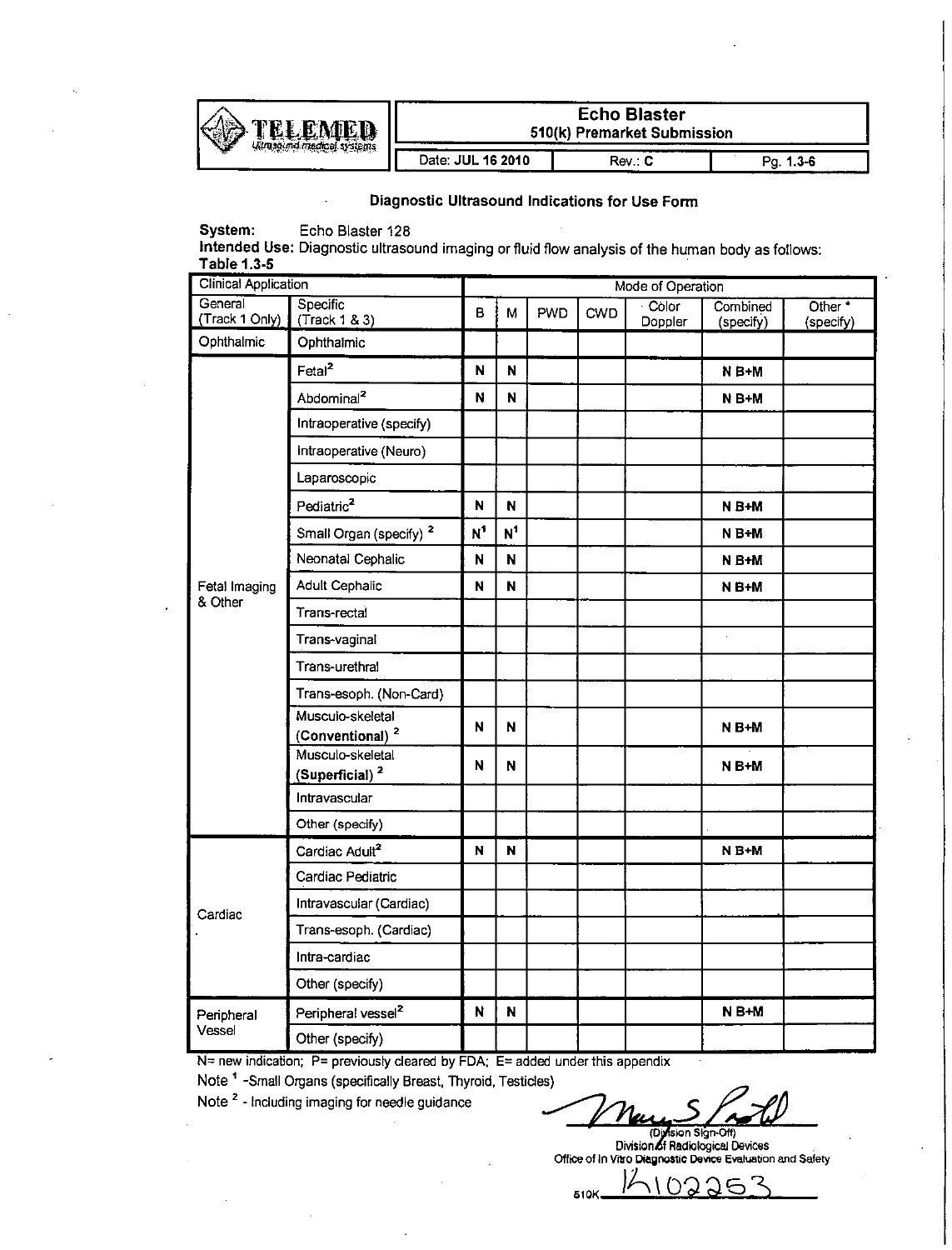

# **Echo Blaster 510(k)** Premarket Submission

\_\_\_\_\_\_\_\_\_\_\_\_\_\_\_\_\_ Date: **JUL 16** 2010 **1** Rev.: **C Pg. 1.3-6**

# Diagnostic Ultrasound Indications for Use Form

System: Echo Blaster **128**

Intended Use: Diagnostic ultrasound imaging or fluid flow analysis of the human body as follows: Table **1.3-5**

| <b>Clinical Application</b> |                                                 | Mode of Operation |                |     |     |                  |                       |                                 |  |  |
|-----------------------------|-------------------------------------------------|-------------------|----------------|-----|-----|------------------|-----------------------|---------------------------------|--|--|
| General<br>(Track 1 Only)   | Specific<br>(Track 1 & 3)                       | $\mathbf{B}$      | M              | PWD | CWD | Color<br>Doppler | Combined<br>(specify) | Other <sup>*</sup><br>(specify) |  |  |
| Ophthalmic                  | Ophthalmic                                      |                   |                |     |     |                  |                       |                                 |  |  |
|                             | Fetal <sup>2</sup>                              | N                 | N              |     |     |                  | N B+M                 |                                 |  |  |
|                             | Abdominal <sup>2</sup>                          | N                 | N              |     |     |                  | N B+M                 |                                 |  |  |
|                             | Intraoperative (specify)                        |                   |                |     |     |                  |                       |                                 |  |  |
|                             | Intraoperative (Neuro)                          |                   |                |     |     |                  |                       |                                 |  |  |
|                             | Laparoscopic                                    |                   |                |     |     |                  |                       |                                 |  |  |
|                             | Pediatric <sup>2</sup>                          | N                 | N              |     |     |                  | $N B+M$               |                                 |  |  |
|                             | Small Organ (specify) <sup>2</sup>              | $N^1$             | N <sup>1</sup> |     |     |                  | N B+M                 |                                 |  |  |
|                             | Neonatal Cephalic                               | N                 | N              |     |     |                  | N B+M                 |                                 |  |  |
| Fetal Imaging               | <b>Adult Cephalic</b>                           | N                 | N              |     |     |                  | N B+M                 |                                 |  |  |
| & Other                     | Trans-rectal                                    |                   |                |     |     |                  |                       |                                 |  |  |
|                             | Trans-vaginal                                   |                   |                |     |     |                  | i,                    |                                 |  |  |
|                             | Trans-urethral                                  |                   |                |     |     |                  |                       |                                 |  |  |
|                             | Trans-esoph. (Non-Card)                         |                   |                |     |     |                  |                       |                                 |  |  |
|                             | Musculo-skeletal                                | N                 | N              |     |     |                  | N B+M                 |                                 |  |  |
|                             | (Conventional) <sup>2</sup><br>Musculo-skeletal |                   |                |     |     |                  |                       |                                 |  |  |
|                             | (Superficial) <sup>2</sup>                      | N                 | N              |     |     |                  | N B+M                 |                                 |  |  |
|                             | Intravascular                                   |                   |                |     |     |                  |                       |                                 |  |  |
|                             | Other (specify)                                 |                   |                |     |     |                  |                       |                                 |  |  |
|                             | Cardiac Adult <sup>2</sup>                      | N                 | N              |     |     |                  | N B+M                 |                                 |  |  |
|                             | Cardiac Pediatric                               |                   |                |     |     |                  |                       |                                 |  |  |
| Cardiac                     | Intravascular (Cardiac)                         |                   |                |     |     |                  |                       |                                 |  |  |
|                             | Trans-esoph. (Cardiac)                          |                   |                |     |     |                  |                       |                                 |  |  |
|                             | Intra-cardiac                                   |                   |                |     |     |                  |                       |                                 |  |  |
|                             | Other (specify)                                 |                   |                |     |     |                  |                       |                                 |  |  |
| Peripheral<br>Vessel        | Peripheral vessel <sup>2</sup>                  | N                 | N              |     |     |                  | $N B+M$               |                                 |  |  |
|                             | Other (specify)                                 |                   |                |     |     |                  |                       |                                 |  |  |

**N=** new indication; P= previously cleared **by FDA; E=** added under this appendix

Note '-Small Organs (specifically Breast, Thyroid, Testicles) Note **2 -** Including imaging for needle guidance - , ~~

(Di**yfision Sign-Off)**<br>Division of Radiological Devices<br>Office of In Vitro Diagnostic Device Evaluation and Safety

つ Ā 510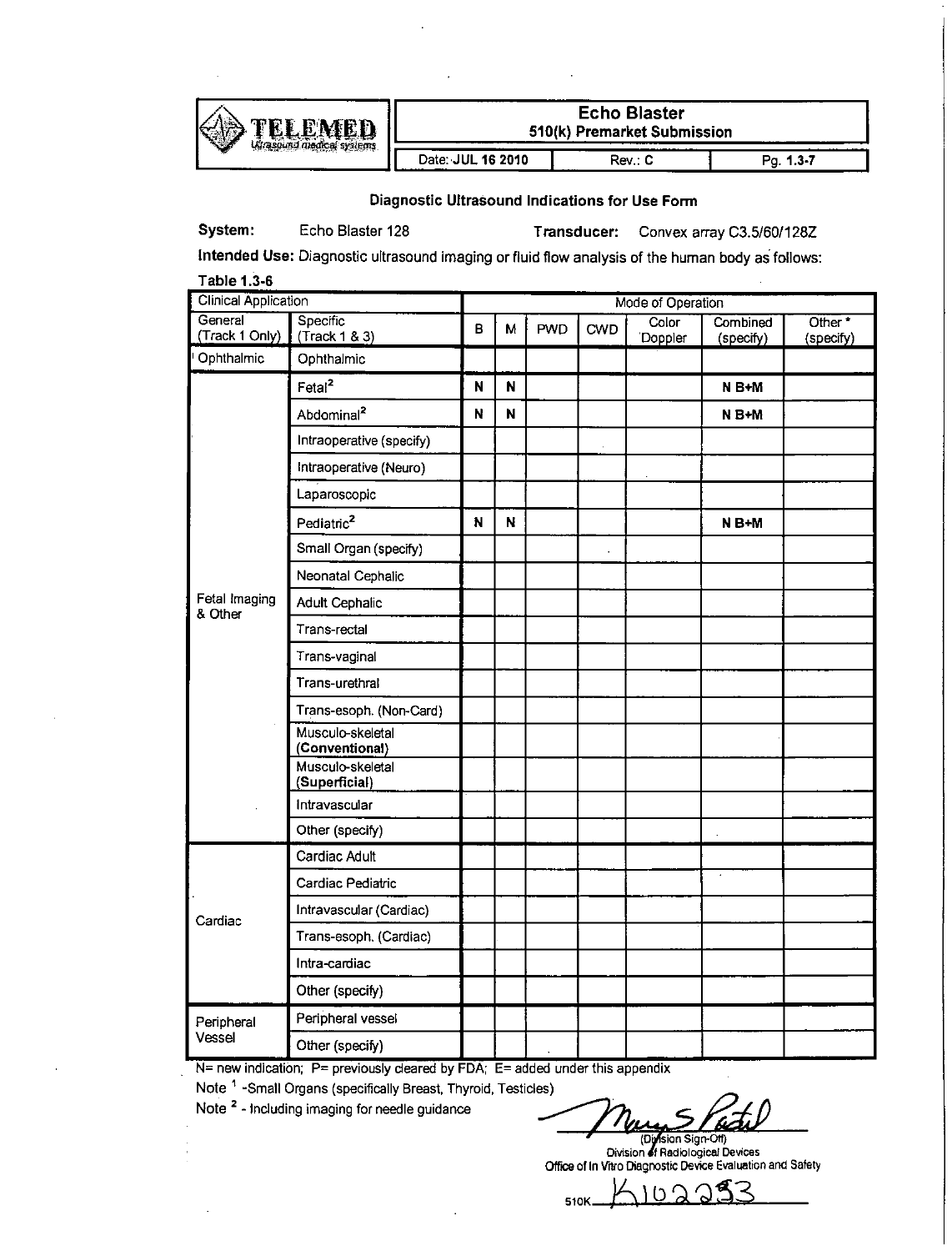

**FERNATED** Echo Blaster<br>
S10(k) Premarket Submission

\_\_\_\_\_\_\_\_\_\_\_\_\_\_\_\_\_\_ Date: JUL **16** 2010 **1** Rev.: **C Pg. 1.3-7=**

### Diagnostic Ultrasound Indications for Use Form

System: Echo Blaster **128** Transducer: Convex array **C3.51601128Z**

Intended Use: Diagnostic ultrasound imaging or fluid flow analysis of the human body as follows:

| <b>Clinical Application</b> |                                    |   | Mode of Operation |            |            |                  |                       |                                 |  |  |  |
|-----------------------------|------------------------------------|---|-------------------|------------|------------|------------------|-----------------------|---------------------------------|--|--|--|
| General<br>(Track 1 Only)   | Specific<br>(Track 1 & 3)          | B | М                 | <b>PWD</b> | <b>CWD</b> | Color<br>Doppler | Combined<br>(specify) | Other <sup>*</sup><br>(specify) |  |  |  |
| Ophthalmic                  | Ophthalmic                         |   |                   |            |            |                  |                       |                                 |  |  |  |
|                             | Fetal <sup>2</sup>                 | N | N                 |            |            |                  | $N B+M$               |                                 |  |  |  |
|                             | Abdominal <sup>2</sup>             | N | N                 |            |            |                  | N B+M                 |                                 |  |  |  |
|                             | Intraoperative (specify)           |   |                   |            |            |                  |                       |                                 |  |  |  |
|                             | Intraoperative (Neuro)             |   |                   |            |            |                  |                       |                                 |  |  |  |
|                             | Laparoscopic                       |   |                   |            |            |                  |                       |                                 |  |  |  |
|                             | Pediatric <sup>2</sup>             | N | N                 |            |            |                  | N B+M                 |                                 |  |  |  |
|                             | Small Organ (specify)              |   |                   |            |            |                  |                       |                                 |  |  |  |
|                             | Neonatal Cephalic                  |   |                   |            |            |                  |                       |                                 |  |  |  |
| Fetal Imaging<br>& Other    | <b>Adult Cephalic</b>              |   |                   |            |            |                  |                       |                                 |  |  |  |
|                             | Trans-rectal                       |   |                   |            |            |                  |                       |                                 |  |  |  |
|                             | Trans-vaginal                      |   |                   |            |            |                  |                       |                                 |  |  |  |
|                             | Trans-urethral                     |   |                   |            |            |                  |                       |                                 |  |  |  |
|                             | Trans-esoph. (Non-Card)            |   |                   |            |            |                  |                       |                                 |  |  |  |
|                             | Musculo-skeletal<br>(Conventional) |   |                   |            |            |                  |                       |                                 |  |  |  |
|                             | Musculo-skeletal<br>(Superficial)  |   |                   |            |            |                  |                       |                                 |  |  |  |
|                             | Intravascular                      |   |                   |            |            |                  |                       |                                 |  |  |  |
|                             | Other (specify)                    |   |                   |            |            |                  |                       |                                 |  |  |  |
|                             | Cardiac Adult                      |   |                   |            |            |                  |                       |                                 |  |  |  |
|                             | Cardiac Pediatric                  |   |                   |            |            |                  |                       |                                 |  |  |  |
| Cardiac                     | Intravascular (Cardiac)            |   |                   |            |            |                  |                       |                                 |  |  |  |
|                             | Trans-esoph. (Cardiac)             |   |                   |            |            |                  |                       |                                 |  |  |  |
|                             | Intra-cardiac                      |   |                   |            |            |                  |                       |                                 |  |  |  |
|                             | Other (specify)                    |   |                   |            |            |                  |                       |                                 |  |  |  |
| Peripheral                  | Peripheral vessel                  |   |                   |            |            |                  |                       |                                 |  |  |  |
| Vessel                      | Other (specify)                    |   |                   |            |            |                  |                       |                                 |  |  |  |

**N=** new indication; P= previously cleared **by FDA: E=** added under this appendix

Note **'** -Small Organs (specifically Breast, Thyroid, Testicles)

Note **2 -** Including imaging for needle guidance **\_\_\_\_\_\_\_\_\_\_\_\_\_\_\_\_\_\_\_\_**

**(0** sion SgwO)

**Oivision of Radiological Devices**<br>Office of In Vitro Diagnostic Device Evaluation and Safety

 $\overline{\phantom{a}}$ 510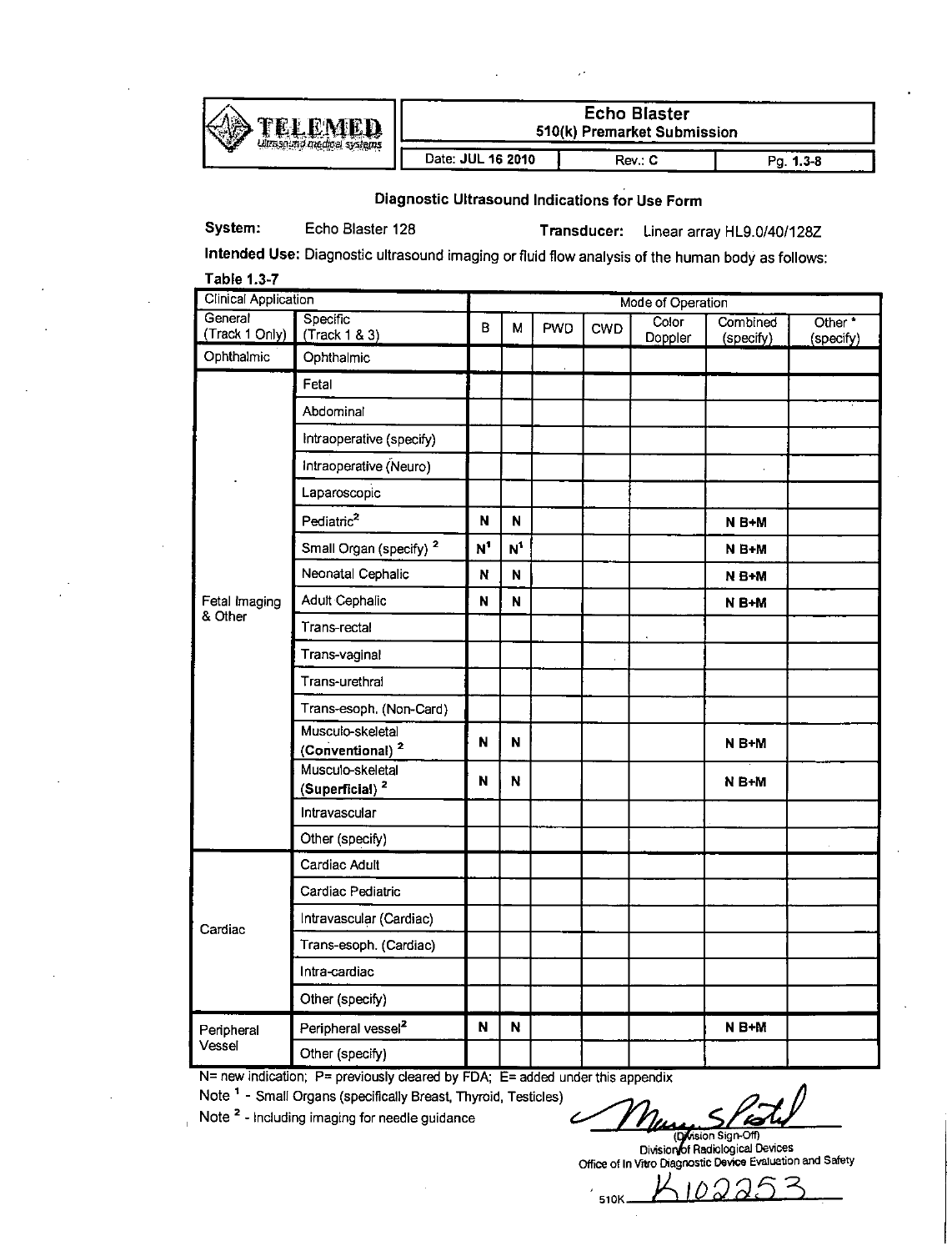

**TELEMED** | Echo Blaster<br>
ADAMED | S10(k) Premarket Subm *t~F* **510(k)** Premarket Submission

Date: **JUL 16 2010** Rev.: **C** Pg. 1.3-8

Diagnostic Ultrasound Indications for Use Form

System: Echo Blaster 128 Transducer: Linear array HL9.O/40/128Z

Intended Use: Diagnostic ultrasound imaging or fluid flow analysis of the human body as follows: Table **1.3-7**

| <b>Clinical Application</b> |                                                 |                | Mode of Operation     |            |            |                  |                       |                                 |  |  |  |
|-----------------------------|-------------------------------------------------|----------------|-----------------------|------------|------------|------------------|-----------------------|---------------------------------|--|--|--|
| General<br>(Track 1 Only)   | Specific <sup>1</sup><br>(Track 1 & 3)          | B              | м                     | <b>PWD</b> | <b>CWD</b> | Color<br>Doppler | Combined<br>(specify) | Other <sup>*</sup><br>(specify) |  |  |  |
| Ophthalmic                  | Ophthalmic                                      |                |                       |            |            |                  |                       |                                 |  |  |  |
|                             | Fetal                                           |                |                       |            |            |                  |                       |                                 |  |  |  |
|                             | Abdominal                                       |                |                       |            |            |                  |                       |                                 |  |  |  |
|                             | Intraoperative (specify)                        |                |                       |            |            |                  |                       |                                 |  |  |  |
|                             | Intraoperative (Neuro)                          |                |                       |            |            |                  |                       |                                 |  |  |  |
|                             | Laparoscopic                                    |                |                       |            |            |                  |                       |                                 |  |  |  |
|                             | Pediatric <sup>2</sup>                          | $\mathbf{N}$   | N                     |            |            |                  | N B+M                 |                                 |  |  |  |
|                             | Small Organ (specify) <sup>2</sup>              | N <sup>1</sup> | $\textbf{N}^\text{1}$ |            |            |                  | $N B+M$               |                                 |  |  |  |
|                             | Neonatal Cephalic                               | N              | N                     |            |            |                  | $N B + M$             |                                 |  |  |  |
| Fetal Imaging               | Adult Cephalic                                  | N              | N                     |            |            |                  | N B+M                 |                                 |  |  |  |
| & Other                     | Trans-rectal                                    |                |                       |            |            |                  |                       |                                 |  |  |  |
|                             | Trans-vaginal                                   |                |                       |            |            |                  |                       |                                 |  |  |  |
|                             | Trans-urethral                                  |                |                       |            |            |                  |                       |                                 |  |  |  |
|                             | Trans-esoph. (Non-Card)                         |                |                       |            |            |                  |                       |                                 |  |  |  |
|                             | Musculo-skeletal<br>(Conventional) <sup>2</sup> | N              | N                     |            |            |                  | N B+M                 |                                 |  |  |  |
|                             | Musculo-skeletal<br>(Superficial) <sup>2</sup>  | N              | N                     |            |            |                  | N B+M                 |                                 |  |  |  |
|                             | Intravascular                                   |                |                       |            |            |                  |                       |                                 |  |  |  |
|                             | Other (specify)                                 |                |                       |            |            |                  |                       |                                 |  |  |  |
|                             | Cardiac Adult                                   |                |                       |            |            |                  |                       |                                 |  |  |  |
|                             | Cardiac Pediatric                               |                |                       |            |            |                  |                       |                                 |  |  |  |
| Cardiac                     | Intravascular (Cardiac)                         |                |                       |            |            |                  |                       |                                 |  |  |  |
|                             | Trans-esoph. (Cardiac)                          |                |                       |            |            |                  |                       |                                 |  |  |  |
|                             | Intra-cardiac                                   |                |                       |            |            |                  |                       |                                 |  |  |  |
|                             | Other (specify)                                 |                |                       |            |            |                  |                       |                                 |  |  |  |
| Peripheral<br>Vessel        | Peripheral vessel <sup>2</sup>                  | N              | N                     |            |            |                  | N B+M                 |                                 |  |  |  |
|                             | Other (specify)                                 |                |                       |            |            |                  |                       |                                 |  |  |  |

**N=** new indication; P= previously cleared **by FDA; E=** added under this appendix

Note **' -** Small Organs (specifically Breast, Thyroid, Testicles)

Note <sup>2</sup> - Including imaging for needle guidance

510K

Division **Radio Queen Devices**<br>Office of In Vitro Diagnostic Device Evaluation and Safety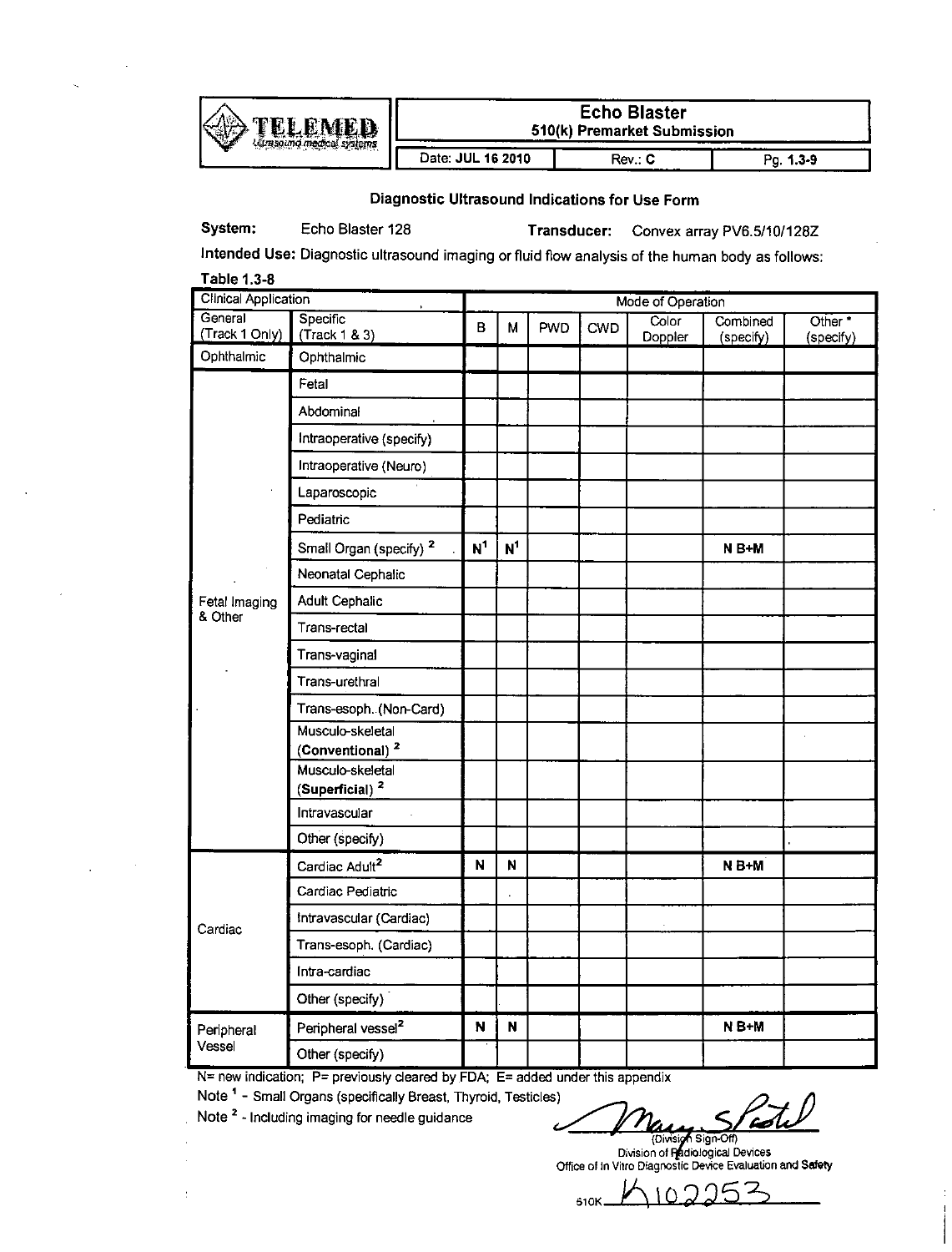

**Echo Blaster F 510(k) Premarket Submission**<br>**Rev.: C** 

\_\_\_\_\_\_\_I\_\_\_\_\_\_ Date: **JUL 18** 2010 **1** Rev.: **C Pg. 1.3-9\_\_\_**

Diagnostic Ultrasound Indications for Use Form

System: Echo Blaster 128 **Transducer:** Convex array PV6.5/10/128Z

Intended Use: Diagnostic ultrasound imaging or fluid flow analysis of the human body as follows: Table **1.3-8**

| <b>Clinical Application</b> |                                                 | Mode of Operation |                |     |     |                  |                       |                                 |  |  |
|-----------------------------|-------------------------------------------------|-------------------|----------------|-----|-----|------------------|-----------------------|---------------------------------|--|--|
| General<br>(Track 1 Only)   | Specific<br>(Track 1 & 3)                       | B                 | м              | PWD | CWD | Color<br>Doppler | Combined<br>(specify) | Other <sup>*</sup><br>(specify) |  |  |
| Ophthalmic                  | Ophthalmic                                      |                   |                |     |     |                  |                       |                                 |  |  |
|                             | Fetal                                           |                   |                |     |     |                  |                       |                                 |  |  |
|                             | Abdominal                                       |                   |                |     |     |                  |                       |                                 |  |  |
|                             | Intraoperative (specify)                        |                   |                |     |     |                  |                       |                                 |  |  |
|                             | Intraoperative (Neuro)                          |                   |                |     |     |                  |                       |                                 |  |  |
|                             | Laparoscopic                                    |                   |                |     |     |                  |                       |                                 |  |  |
|                             | Pediatric                                       |                   |                |     |     |                  |                       |                                 |  |  |
|                             | Small Organ (specify) <sup>2</sup>              | N <sup>1</sup>    | N <sup>1</sup> |     |     |                  | N B+M                 |                                 |  |  |
|                             | Neonatal Cephalic                               |                   |                |     |     |                  |                       |                                 |  |  |
| Fetal Imaging               | <b>Adult Cephalic</b>                           |                   |                |     |     |                  |                       |                                 |  |  |
| & Other                     | Trans-rectal                                    |                   |                |     |     |                  |                       |                                 |  |  |
|                             | Trans-vaginal                                   |                   |                |     |     |                  |                       |                                 |  |  |
|                             | Trans-urethral                                  |                   |                |     |     |                  |                       |                                 |  |  |
|                             | Trans-esoph. (Non-Card)                         |                   |                |     |     |                  |                       |                                 |  |  |
|                             | Musculo-skeletal                                |                   |                |     |     |                  |                       |                                 |  |  |
|                             | (Conventional) <sup>2</sup><br>Musculo-skeletal |                   |                |     |     |                  |                       |                                 |  |  |
|                             | (Superficial) <sup>2</sup>                      |                   |                |     |     |                  |                       |                                 |  |  |
|                             | Intravascular                                   |                   |                |     |     |                  |                       |                                 |  |  |
|                             | Other (specify)                                 |                   |                |     |     |                  |                       |                                 |  |  |
|                             | Cardiac Adult <sup>2</sup>                      | N                 | N              |     |     |                  | N B+M                 |                                 |  |  |
|                             | Cardiac Pediatric                               |                   |                |     |     |                  |                       |                                 |  |  |
| Cardiac                     | Intravascular (Cardiac)                         |                   |                |     |     |                  |                       |                                 |  |  |
|                             | Trans-esoph. (Cardiac)                          |                   |                |     |     |                  |                       |                                 |  |  |
|                             | Intra-cardiac                                   |                   |                |     |     |                  |                       |                                 |  |  |
|                             | Other (specify)                                 |                   |                |     |     |                  |                       |                                 |  |  |
| Peripheral<br>Vessel        | Peripheral vessel <sup>2</sup>                  | $\mathbf N$       | $\mathbf N$    |     |     |                  | N B+M                 |                                 |  |  |
|                             | Other (specify)                                 |                   |                |     |     |                  |                       |                                 |  |  |

**N=** new indication; P= previously deared **by FDA; E=** added under this appendix

Note **'-** Small Organs (specifically Breast, Thyroid, Testicles)

Note <sup>2</sup> - Including imaging for needle guidance<br>
(Division Sign-Off)

Division of Padiological Devices Office of in Vitro Diagnostic Device Evaluation and Safety

 $5100225$